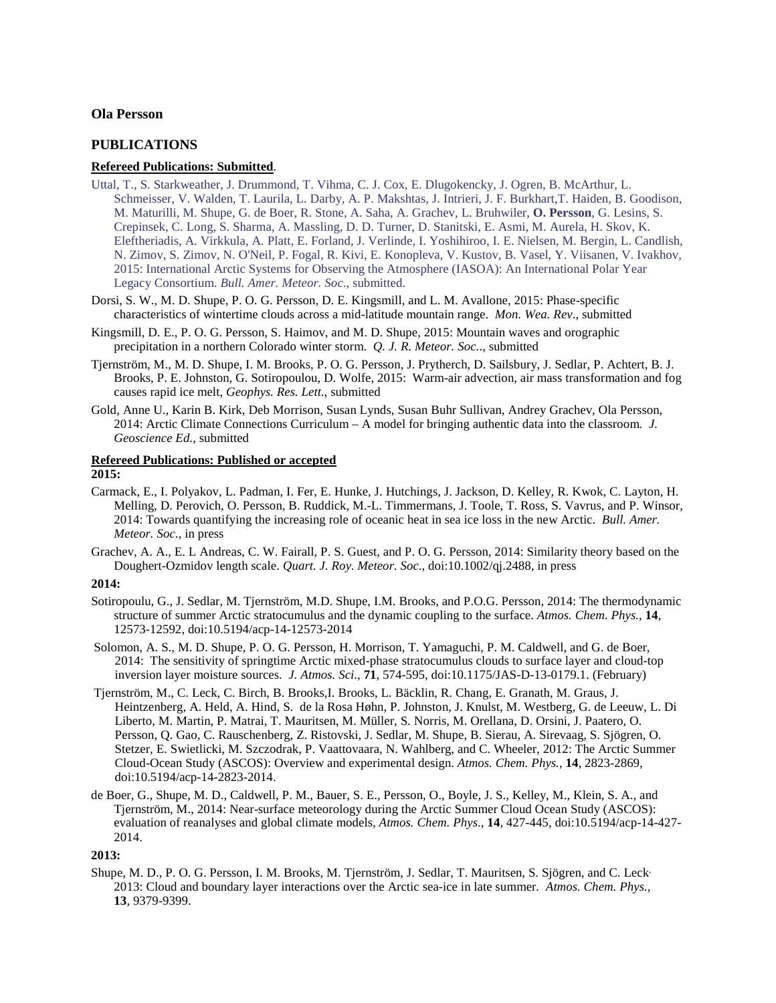# **Ola Persson**

## **PUBLICATIONS**

## **Refereed Publications: Submitted**.

- Uttal, T., S. Starkweather, J. Drummond, T. Vihma, C. J. Cox, E. Dlugokencky, J. Ogren, B. McArthur, L. Schmeisser, V. Walden, T. Laurila, L. Darby, A. P. Makshtas, J. Intrieri, J. F. Burkhart,T. Haiden, B. Goodison, M. Maturilli, M. Shupe, G. de Boer, R. Stone, A. Saha, A. Grachev, L. Bruhwiler, **O. Persson**, G. Lesins, S. Crepinsek, C. Long, S. Sharma, A. Massling, D. D. Turner, D. Stanitski, E. Asmi, M. Aurela, H. Skov, K. Eleftheriadis, A. Virkkula, A. Platt, E. Forland, J. Verlinde, I. Yoshihiroo, I. E. Nielsen, M. Bergin, L. Candlish, N. Zimov, S. Zimov, N. O'Neil, P. Fogal, R. Kivi, E. Konopleva, V. Kustov, B. Vasel, Y. Viisanen, V. Ivakhov, 2015: International Arctic Systems for Observing the Atmosphere (IASOA): An International Polar Year Legacy Consortium. *Bull. Amer. Meteor. Soc*., submitted.
- Dorsi, S. W., M. D. Shupe, P. O. G. Persson, D. E. Kingsmill, and L. M. Avallone, 2015: Phase-specific characteristics of wintertime clouds across a mid-latitude mountain range. *Mon. Wea. Rev*., submitted
- Kingsmill, D. E., P. O. G. Persson, S. Haimov, and M. D. Shupe, 2015: Mountain waves and orographic precipitation in a northern Colorado winter storm. *Q. J. R. Meteor. Soc.*., submitted
- Tjernström, M., M. D. Shupe, I. M. Brooks, P. O. G. Persson, J. Prytherch, D. Sailsbury, J. Sedlar, P. Achtert, B. J. Brooks, P. E. Johnston, G. Sotiropoulou, D. Wolfe, 2015: Warm-air advection, air mass transformation and fog causes rapid ice melt, *Geophys. Res. Lett*., submitted
- Gold, Anne U., Karin B. Kirk, Deb Morrison, Susan Lynds, Susan Buhr Sullivan, Andrey Grachev, Ola Persson, 2014: Arctic Climate Connections Curriculum – A model for bringing authentic data into the classroom*. J. Geoscience Ed.*, submitted

# **Refereed Publications: Published or accepted**

# **2015:**

- Carmack, E., I. Polyakov, L. Padman, I. Fer, E. Hunke, J. Hutchings, J. Jackson, D. Kelley, R. Kwok, C. Layton, H. Melling, D. Perovich, O. Persson, B. Ruddick, M.-L. Timmermans, J. Toole, T. Ross, S. Vavrus, and P. Winsor, 2014: Towards quantifying the increasing role of oceanic heat in sea ice loss in the new Arctic. *Bull. Amer. Meteor. Soc*., in press
- Grachev, A. A., E. L Andreas, C. W. Fairall, P. S. Guest, and P. O. G. Persson, 2014: Similarity theory based on the Doughert-Ozmidov length scale. *Quart. J. Roy. Meteor. Soc.*, doi:10.1002/qj.2488, in press

## **2014:**

- Sotiropoulu, G., J. Sedlar, M. Tjernström, M.D. Shupe, I.M. Brooks, and P.O.G. Persson, 2014: The thermodynamic structure of summer Arctic stratocumulus and the dynamic coupling to the surface. *Atmos. Chem. Phys.*, **14**, 12573-12592, doi:10.5194/acp-14-12573-2014
- Solomon, A. S., M. D. Shupe, P. O. G. Persson, H. Morrison, T. Yamaguchi, P. M. Caldwell, and G. de Boer, 2014: The sensitivity of springtime Arctic mixed-phase stratocumulus clouds to surface layer and cloud-top inversion layer moisture sources. *J. Atmos. Sci*., **71**, 574-595, doi:10.1175/JAS-D-13-0179.1. (February)
- Tjernström, M., C. Leck, C. Birch, B. Brooks,I. Brooks, L. Bäcklin, R. Chang, E. Granath, M. Graus, J. Heintzenberg, A. Held, A. Hind, S. de la Rosa Høhn, P. Johnston, J. Knulst, M. Westberg, G. de Leeuw, L. Di Liberto, M. Martin, P. Matrai, T. Mauritsen, M. Müller, S. Norris, M. Orellana, D. Orsini, J. Paatero, O. Persson, Q. Gao, C. Rauschenberg, Z. Ristovski, J. Sedlar, M. Shupe, B. Sierau, A. Sirevaag, S. Sjögren, O. Stetzer, E. Swietlicki, M. Szczodrak, P. Vaattovaara, N. Wahlberg, and C. Wheeler, 2012: The Arctic Summer Cloud-Ocean Study (ASCOS): Overview and experimental design. *Atmos. Chem. Phys.,* **14**, 2823-2869, doi:10.5194/acp-14-2823-2014.
- de Boer, G., Shupe, M. D., Caldwell, P. M., Bauer, S. E., Persson, O., Boyle, J. S., Kelley, M., Klein, S. A., and Tjernström, M., 2014: Near-surface meteorology during the Arctic Summer Cloud Ocean Study (ASCOS): evaluation of reanalyses and global climate models, *Atmos. Chem. Phys*., **14**, 427-445, doi:10.5194/acp-14-427- 2014.

**2013:**

Shupe, M. D., P. O. G. Persson, I. M. Brooks, M. Tjernström, J. Sedlar, T. Mauritsen, S. Sjögren, and C. Leck, 2013: Cloud and boundary layer interactions over the Arctic sea-ice in late summer*. Atmos. Chem. Phys.*, **13**, 9379-9399.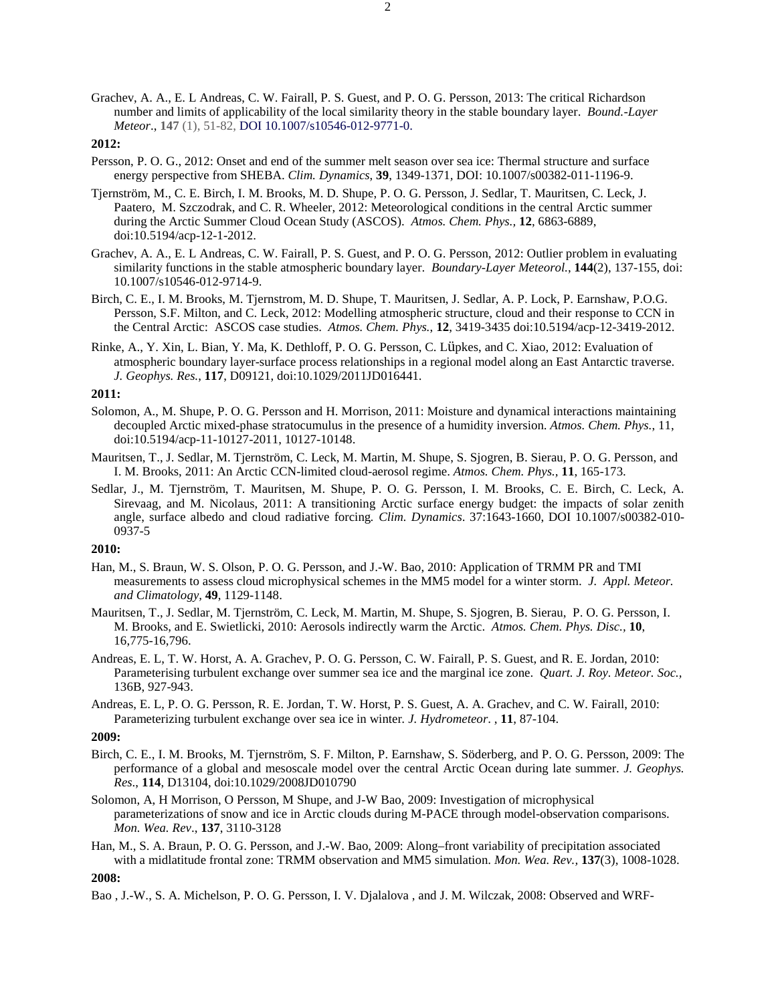Grachev, A. A., E. L Andreas, C. W. Fairall, P. S. Guest, and P. O. G. Persson, 2013: The critical Richardson number and limits of applicability of the local similarity theory in the stable boundary layer. *Bound.-Layer Meteor*., **147** (1), 51-82, DOI 10.1007/s10546-012-9771-0.

## **2012:**

- Persson, P. O. G., 2012: Onset and end of the summer melt season over sea ice: Thermal structure and surface energy perspective from SHEBA. *Clim. Dynamics*, **39**, 1349-1371*,* DOI: 10.1007/s00382-011-1196-9.
- Tjernström, M., C. E. Birch, I. M. Brooks, M. D. Shupe, P. O. G. Persson, J. Sedlar, T. Mauritsen, C. Leck, J. Paatero, M. Szczodrak, and C. R. Wheeler, 2012: Meteorological conditions in the central Arctic summer during the Arctic Summer Cloud Ocean Study (ASCOS). *Atmos. Chem. Phys.,* **12**, 6863-6889, doi:10.5194/acp-12-1-2012.
- Grachev, A. A., E. L Andreas, C. W. Fairall, P. S. Guest, and P. O. G. Persson, 2012: Outlier problem in evaluating similarity functions in the stable atmospheric boundary layer. *Boundary-Layer Meteorol.*, **144**(2), 137-155, doi: 10.1007/s10546-012-9714-9.
- Birch, C. E., I. M. Brooks, M. Tjernstrom, M. D. Shupe, T. Mauritsen, J. Sedlar, A. P. Lock, P. Earnshaw, P.O.G. Persson, S.F. Milton, and C. Leck, 2012: Modelling atmospheric structure, cloud and their response to CCN in the Central Arctic: ASCOS case studies. *Atmos. Chem. Phys.*, **12**, 3419-3435 doi:10.5194/acp-12-3419-2012.
- Rinke, A., Y. Xin, L. Bian, Y. Ma, K. Dethloff, P. O. G. Persson, C. Lüpkes, and C. Xiao, 2012: Evaluation of atmospheric boundary layer-surface process relationships in a regional model along an East Antarctic traverse. *J. Geophys. Res.*, **117**, D09121, doi:10.1029/2011JD016441.

## **2011:**

- Solomon, A., M. Shupe, P. O. G. Persson and H. Morrison, 2011: Moisture and dynamical interactions maintaining decoupled Arctic mixed-phase stratocumulus in the presence of a humidity inversion. *Atmos. Chem. Phys.*, 11, doi:10.5194/acp-11-10127-2011, 10127-10148.
- Mauritsen, T., J. Sedlar, M. Tjernström, C. Leck, M. Martin, M. Shupe, S. Sjogren, B. Sierau, P. O. G. Persson, and I. M. Brooks, 2011: An Arctic CCN-limited cloud-aerosol regime. *Atmos. Chem. Phys.,* **11**, 165-173.
- Sedlar, J., M. Tjernström, T. Mauritsen, M. Shupe, P. O. G. Persson, I. M. Brooks, C. E. Birch, C. Leck, A. Sirevaag, and M. Nicolaus, 2011: A transitioning Arctic surface energy budget: the impacts of solar zenith angle, surface albedo and cloud radiative forcing*. Clim. Dynamics*. 37:1643-1660, DOI 10.1007/s00382-010- 0937-5

## **2010:**

- Han, M., S. Braun, W. S. Olson, P. O. G. Persson, and J.-W. Bao, 2010: Application of TRMM PR and TMI measurements to assess cloud microphysical schemes in the MM5 model for a winter storm. *J. Appl. Meteor. and Climatology,* **49**, 1129-1148.
- Mauritsen, T., J. Sedlar, M. Tjernström, C. Leck, M. Martin, M. Shupe, S. Sjogren, B. Sierau, P. O. G. Persson, I. M. Brooks, and E. Swietlicki, 2010: Aerosols indirectly warm the Arctic. *Atmos. Chem. Phys. Disc.,* **10**, 16,775-16,796.
- Andreas, E. L, T. W. Horst, A. A. Grachev, P. O. G. Persson, C. W. Fairall, P. S. Guest, and R. E. Jordan, 2010: Parameterising turbulent exchange over summer sea ice and the marginal ice zone. *Quart. J. Roy. Meteor. Soc.,*  136B, 927-943.
- Andreas, E. L, P. O. G. Persson, R. E. Jordan, T. W. Horst, P. S. Guest, A. A. Grachev, and C. W. Fairall, 2010: Parameterizing turbulent exchange over sea ice in winter*. J. Hydrometeor*. , **11**, 87-104.

## **2009:**

- Birch, C. E., I. M. Brooks, M. Tjernström, S. F. Milton, P. Earnshaw, S. Söderberg, and P. O. G. Persson, 2009: The performance of a global and mesoscale model over the central Arctic Ocean during late summer. *J. Geophys. Res*., **114**, D13104, doi:10.1029/2008JD010790
- Solomon, A, H Morrison, O Persson, M Shupe, and J-W Bao, 2009: Investigation of microphysical parameterizations of snow and ice in Arctic clouds during M-PACE through model-observation comparisons. *Mon. Wea. Rev*., **137**, 3110-3128
- Han, M., S. A. Braun, P. O. G. Persson, and J.-W. Bao, 2009: Along–front variability of precipitation associated with a midlatitude frontal zone: TRMM observation and MM5 simulation. *Mon. Wea. Rev.,* **137**(3), 1008-1028.

**2008:**

Bao , J.-W., S. A. Michelson, P. O. G. Persson, I. V. Djalalova , and J. M. Wilczak, 2008: Observed and WRF-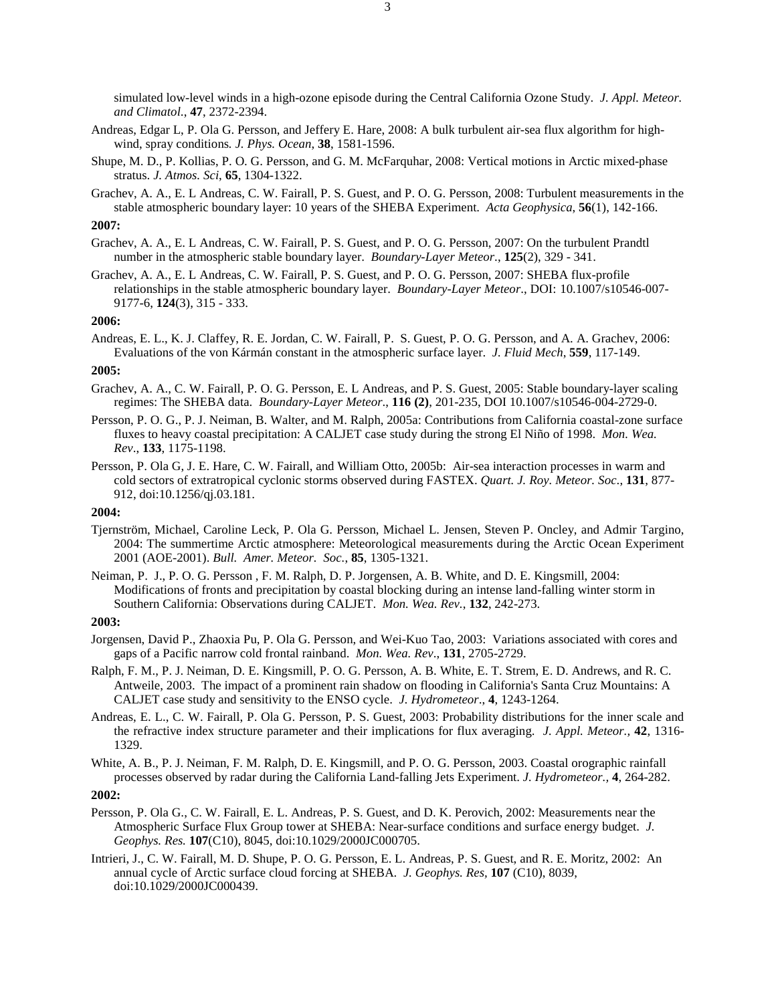simulated low-level winds in a high-ozone episode during the Central California Ozone Study. *J. Appl. Meteor. and Climatol*., **47**, 2372-2394.

- Andreas, Edgar L, P. Ola G. Persson, and Jeffery E. Hare, 2008: A bulk turbulent air-sea flux algorithm for highwind, spray conditions*. J. Phys. Ocean*, **38**, 1581-1596.
- Shupe, M. D., P. Kollias, P. O. G. Persson, and G. M. McFarquhar, 2008: Vertical motions in Arctic mixed-phase stratus. *J. Atmos. Sci*, **65**, 1304-1322.
- Grachev, A. A., E. L Andreas, C. W. Fairall, P. S. Guest, and P. O. G. Persson, 2008: Turbulent measurements in the stable atmospheric boundary layer: 10 years of the SHEBA Experiment. *Acta Geophysica*, **56**(1), 142-166.

# **2007:**

- Grachev, A. A., E. L Andreas, C. W. Fairall, P. S. Guest, and P. O. G. Persson, 2007: On the turbulent Prandtl number in the atmospheric stable boundary layer. *Boundary-Layer Meteor*., **125**(2), 329 - 341.
- Grachev, A. A., E. L Andreas, C. W. Fairall, P. S. Guest, and P. O. G. Persson, 2007: SHEBA flux-profile relationships in the stable atmospheric boundary layer. *Boundary-Layer Meteor*., DOI: 10.1007/s10546-007- 9177-6, **124**(3), 315 - 333.

## **2006:**

Andreas, E. L., K. J. Claffey, R. E. Jordan, C. W. Fairall, P. S. Guest, P. O. G. Persson, and A. A. Grachev, 2006: Evaluations of the von Kármán constant in the atmospheric surface layer. *J. Fluid Mech*, **559**, 117-149.

#### **2005:**

- Grachev, A. A., C. W. Fairall, P. O. G. Persson, E. L Andreas, and P. S. Guest, 2005: Stable boundary-layer scaling regimes: The SHEBA data. *Boundary-Layer Meteor*., **116 (2)**, 201-235, DOI 10.1007/s10546-004-2729-0.
- Persson, P. O. G., P. J. Neiman, B. Walter, and M. Ralph, 2005a: Contributions from California coastal-zone surface fluxes to heavy coastal precipitation: A CALJET case study during the strong El Niño of 1998. *Mon. Wea. Rev*., **133**, 1175-1198.
- Persson, P. Ola G, J. E. Hare, C. W. Fairall, and William Otto, 2005b: Air-sea interaction processes in warm and cold sectors of extratropical cyclonic storms observed during FASTEX. *Quart. J. Roy. Meteor. Soc*., **131**, 877- 912, doi:10.1256/qj.03.181.

#### **2004:**

- Tjernström, Michael, Caroline Leck, P. Ola G. Persson, Michael L. Jensen, Steven P. Oncley, and Admir Targino, 2004: The summertime Arctic atmosphere: Meteorological measurements during the Arctic Ocean Experiment 2001 (AOE-2001). *Bull. Amer. Meteor. Soc.*, **85**, 1305-1321.
- Neiman, P. J., P. O. G. Persson , F. M. Ralph, D. P. Jorgensen, A. B. White, and D. E. Kingsmill, 2004: Modifications of fronts and precipitation by coastal blocking during an intense land-falling winter storm in Southern California: Observations during CALJET. *Mon. Wea. Rev.*, **132**, 242-273.

#### **2003:**

- Jorgensen, David P., Zhaoxia Pu, P. Ola G. Persson, and Wei-Kuo Tao, 2003: Variations associated with cores and gaps of a Pacific narrow cold frontal rainband. *Mon. Wea. Rev*., **131**, 2705-2729.
- Ralph, F. M., P. J. Neiman, D. E. Kingsmill, P. O. G. Persson, A. B. White, E. T. Strem, E. D. Andrews, and R. C. Antweile, 2003. The impact of a prominent rain shadow on flooding in California's Santa Cruz Mountains: A CALJET case study and sensitivity to the ENSO cycle. *J. Hydrometeor*., **4**, 1243-1264.
- Andreas, E. L., C. W. Fairall, P. Ola G. Persson, P. S. Guest, 2003: Probability distributions for the inner scale and the refractive index structure parameter and their implications for flux averaging. *J. Appl. Meteor.,* **42**, 1316- 1329.
- White, A. B., P. J. Neiman, F. M. Ralph, D. E. Kingsmill, and P. O. G. Persson, 2003. Coastal orographic rainfall processes observed by radar during the California Land-falling Jets Experiment. *J. Hydrometeor.,* **4**, 264-282.

- Persson, P. Ola G., C. W. Fairall, E. L. Andreas, P. S. Guest, and D. K. Perovich, 2002: Measurements near the Atmospheric Surface Flux Group tower at SHEBA: Near-surface conditions and surface energy budget. *J. Geophys. Res.* **107**(C10), 8045, doi:10.1029/2000JC000705.
- Intrieri, J., C. W. Fairall, M. D. Shupe, P. O. G. Persson, E. L. Andreas, P. S. Guest, and R. E. Moritz, 2002: An annual cycle of Arctic surface cloud forcing at SHEBA. *J. Geophys. Res,* **107** (C10), 8039, doi:10.1029/2000JC000439.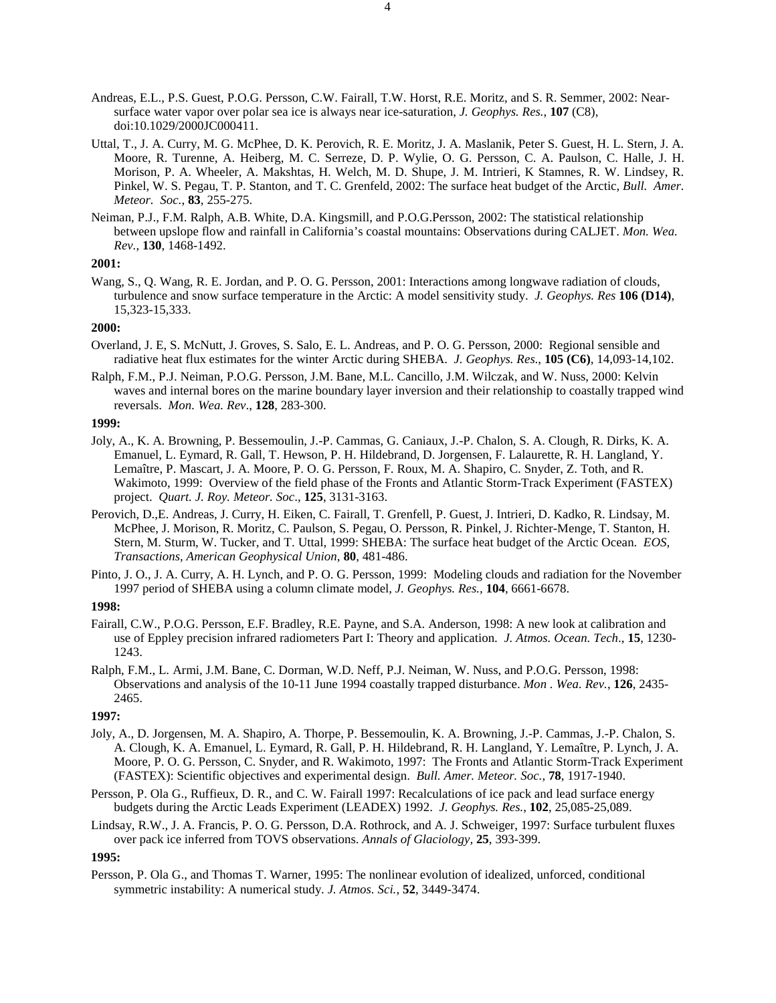- Andreas, E.L., P.S. Guest, P.O.G. Persson, C.W. Fairall, T.W. Horst, R.E. Moritz, and S. R. Semmer, 2002: Nearsurface water vapor over polar sea ice is always near ice-saturation, *J. Geophys. Res.*, **107** (C8), doi:10.1029/2000JC000411.
- Uttal, T., J. A. Curry, M. G. McPhee, D. K. Perovich, R. E. Moritz, J. A. Maslanik, Peter S. Guest, H. L. Stern, J. A. Moore, R. Turenne, A. Heiberg, M. C. Serreze, D. P. Wylie, O. G. Persson, C. A. Paulson, C. Halle, J. H. Morison, P. A. Wheeler, A. Makshtas, H. Welch, M. D. Shupe, J. M. Intrieri, K Stamnes, R. W. Lindsey, R. Pinkel, W. S. Pegau, T. P. Stanton, and T. C. Grenfeld, 2002: The surface heat budget of the Arctic, *Bull. Amer. Meteor. Soc.*, **83**, 255-275.
- Neiman, P.J., F.M. Ralph, A.B. White, D.A. Kingsmill, and P.O.G.Persson, 2002: The statistical relationship between upslope flow and rainfall in California's coastal mountains: Observations during CALJET. *Mon. Wea. Rev.*, **130**, 1468-1492.

Wang, S., Q. Wang, R. E. Jordan, and P. O. G. Persson, 2001: Interactions among longwave radiation of clouds, turbulence and snow surface temperature in the Arctic: A model sensitivity study. *J. Geophys. Res* **106 (D14)**, 15,323-15,333.

## **2000:**

- Overland, J. E, S. McNutt, J. Groves, S. Salo, E. L. Andreas, and P. O. G. Persson, 2000: Regional sensible and radiative heat flux estimates for the winter Arctic during SHEBA. *J. Geophys. Res*., **105 (C6)**, 14,093-14,102.
- Ralph, F.M., P.J. Neiman, P.O.G. Persson, J.M. Bane, M.L. Cancillo, J.M. Wilczak, and W. Nuss, 2000: Kelvin waves and internal bores on the marine boundary layer inversion and their relationship to coastally trapped wind reversals. *Mon. Wea. Rev*., **128**, 283-300.

## **1999:**

- Joly, A., K. A. Browning, P. Bessemoulin, J.-P. Cammas, G. Caniaux, J.-P. Chalon, S. A. Clough, R. Dirks, K. A. Emanuel, L. Eymard, R. Gall, T. Hewson, P. H. Hildebrand, D. Jorgensen, F. Lalaurette, R. H. Langland, Y. Lemaître, P. Mascart, J. A. Moore, P. O. G. Persson, F. Roux, M. A. Shapiro, C. Snyder, Z. Toth, and R. Wakimoto, 1999: Overview of the field phase of the Fronts and Atlantic Storm-Track Experiment (FASTEX) project. *Quart. J. Roy. Meteor. Soc*., **125**, 3131-3163.
- Perovich, D.,E. Andreas, J. Curry, H. Eiken, C. Fairall, T. Grenfell, P. Guest, J. Intrieri, D. Kadko, R. Lindsay, M. McPhee, J. Morison, R. Moritz, C. Paulson, S. Pegau, O. Persson, R. Pinkel, J. Richter-Menge, T. Stanton, H. Stern, M. Sturm, W. Tucker, and T. Uttal, 1999: SHEBA: The surface heat budget of the Arctic Ocean. *EOS, Transactions, American Geophysical Union*, **80**, 481-486.
- Pinto, J. O., J. A. Curry, A. H. Lynch, and P. O. G. Persson, 1999: Modeling clouds and radiation for the November 1997 period of SHEBA using a column climate model, *J. Geophys. Res.,* **104**, 6661-6678.

## **1998:**

- Fairall, C.W., P.O.G. Persson, E.F. Bradley, R.E. Payne, and S.A. Anderson, 1998: A new look at calibration and use of Eppley precision infrared radiometers Part I: Theory and application. *J. Atmos. Ocean. Tech*., **15**, 1230- 1243.
- Ralph, F.M., L. Armi, J.M. Bane, C. Dorman, W.D. Neff, P.J. Neiman, W. Nuss, and P.O.G. Persson, 1998: Observations and analysis of the 10-11 June 1994 coastally trapped disturbance. *Mon . Wea. Rev.*, **126**, 2435- 2465.

## **1997:**

- Joly, A., D. Jorgensen, M. A. Shapiro, A. Thorpe, P. Bessemoulin, K. A. Browning, J.-P. Cammas, J.-P. Chalon, S. A. Clough, K. A. Emanuel, L. Eymard, R. Gall, P. H. Hildebrand, R. H. Langland, Y. Lemaître, P. Lynch, J. A. Moore, P. O. G. Persson, C. Snyder, and R. Wakimoto, 1997: The Fronts and Atlantic Storm-Track Experiment (FASTEX): Scientific objectives and experimental design. *Bull. Amer. Meteor. Soc.*, **78**, 1917-1940.
- Persson, P. Ola G., Ruffieux, D. R., and C. W. Fairall 1997: Recalculations of ice pack and lead surface energy budgets during the Arctic Leads Experiment (LEADEX) 1992. *J. Geophys. Res.*, **102**, 25,085-25,089.
- Lindsay, R.W., J. A. Francis, P. O. G. Persson, D.A. Rothrock, and A. J. Schweiger, 1997: Surface turbulent fluxes over pack ice inferred from TOVS observations. *Annals of Glaciology,* **25**, 393-399.

**1995:**

Persson, P. Ola G., and Thomas T. Warner, 1995: The nonlinear evolution of idealized, unforced, conditional symmetric instability: A numerical study. *J. Atmos. Sci.*, **52**, 3449-3474.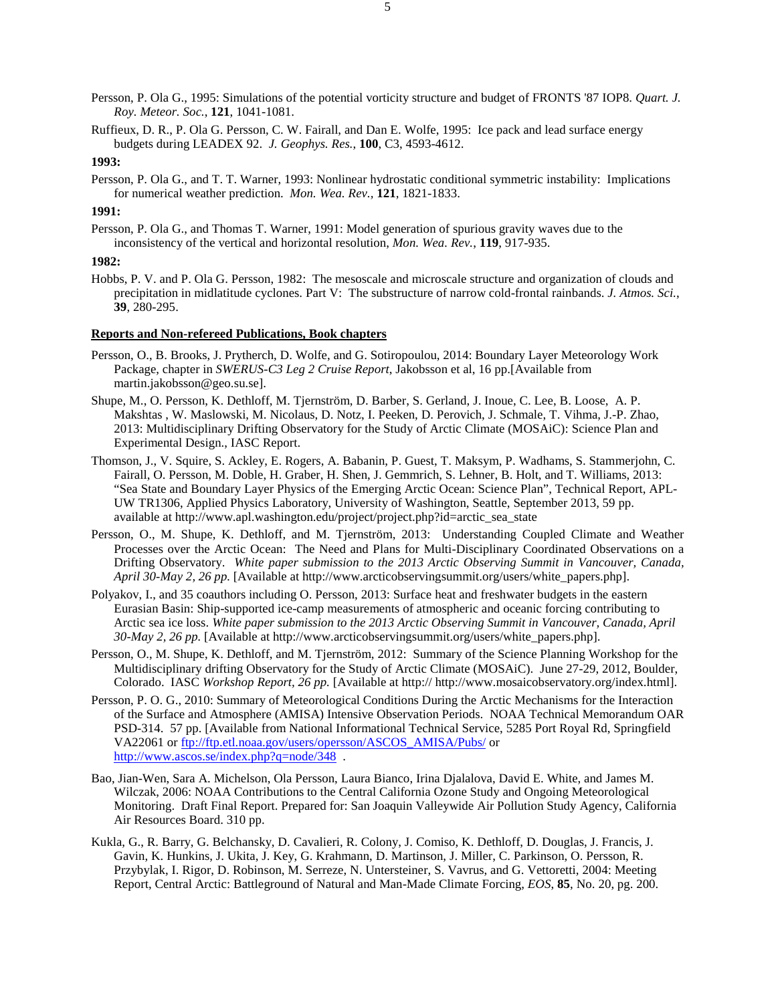- Persson, P. Ola G., 1995: Simulations of the potential vorticity structure and budget of FRONTS '87 IOP8. *Quart. J. Roy. Meteor. Soc.*, **121**, 1041-1081.
- Ruffieux, D. R., P. Ola G. Persson, C. W. Fairall, and Dan E. Wolfe, 1995: Ice pack and lead surface energy budgets during LEADEX 92. *J. Geophys. Res.*, **100**, C3, 4593-4612.

Persson, P. Ola G., and T. T. Warner, 1993: Nonlinear hydrostatic conditional symmetric instability: Implications for numerical weather prediction. *Mon. Wea. Rev.,* **121**, 1821-1833.

## **1991:**

Persson, P. Ola G., and Thomas T. Warner, 1991: Model generation of spurious gravity waves due to the inconsistency of the vertical and horizontal resolution, *Mon. Wea. Rev.*, **119**, 917-935.

# **1982:**

Hobbs, P. V. and P. Ola G. Persson, 1982: The mesoscale and microscale structure and organization of clouds and precipitation in midlatitude cyclones. Part V: The substructure of narrow cold-frontal rainbands. *J. Atmos. Sci.*, **39**, 280-295.

## **Reports and Non-refereed Publications, Book chapters**

- Persson, O., B. Brooks, J. Prytherch, D. Wolfe, and G. Sotiropoulou, 2014: Boundary Layer Meteorology Work Package, chapter in *SWERUS-C3 Leg 2 Cruise Report*, Jakobsson et al, 16 pp.[Available from martin.jakobsson@geo.su.se].
- Shupe, M., O. Persson, K. Dethloff, M. Tjernström, D. Barber, S. Gerland, J. Inoue, C. Lee, B. Loose, A. P. Makshtas , W. Maslowski, M. Nicolaus, D. Notz, I. Peeken, D. Perovich, J. Schmale, T. Vihma, J.-P. Zhao, 2013: Multidisciplinary Drifting Observatory for the Study of Arctic Climate (MOSAiC): Science Plan and Experimental Design., IASC Report.
- Thomson, J., V. Squire, S. Ackley, E. Rogers, A. Babanin, P. Guest, T. Maksym, P. Wadhams, S. Stammerjohn, C. Fairall, O. Persson, M. Doble, H. Graber, H. Shen, J. Gemmrich, S. Lehner, B. Holt, and T. Williams, 2013: "Sea State and Boundary Layer Physics of the Emerging Arctic Ocean: Science Plan", Technical Report, APL-UW TR1306, Applied Physics Laboratory, University of Washington, Seattle, September 2013, 59 pp. available at http://www.apl.washington.edu/project/project.php?id=arctic\_sea\_state
- Persson, O., M. Shupe, K. Dethloff, and M. Tjernström, 2013: Understanding Coupled Climate and Weather Processes over the Arctic Ocean: The Need and Plans for Multi-Disciplinary Coordinated Observations on a Drifting Observatory. *White paper submission to the 2013 Arctic Observing Summit in Vancouver, Canada, April 30-May 2, 26 pp.* [Available at http://www.arcticobservingsummit.org/users/white\_papers.php].
- Polyakov, I., and 35 coauthors including O. Persson, 2013: Surface heat and freshwater budgets in the eastern Eurasian Basin: Ship-supported ice-camp measurements of atmospheric and oceanic forcing contributing to Arctic sea ice loss. *White paper submission to the 2013 Arctic Observing Summit in Vancouver, Canada, April 30-May 2, 26 pp.* [Available at http://www.arcticobservingsummit.org/users/white\_papers.php].
- Persson, O., M. Shupe, K. Dethloff, and M. Tjernström, 2012: Summary of the Science Planning Workshop for the Multidisciplinary drifting Observatory for the Study of Arctic Climate (MOSAiC). June 27-29, 2012, Boulder, Colorado. IASC *Workshop Report, 26 pp.* [Available at http:// http://www.mosaicobservatory.org/index.html].
- Persson, P. O. G., 2010: Summary of Meteorological Conditions During the Arctic Mechanisms for the Interaction of the Surface and Atmosphere (AMISA) Intensive Observation Periods. NOAA Technical Memorandum OAR PSD-314. 57 pp. [Available from National Informational Technical Service, 5285 Port Royal Rd, Springfield VA22061 or [ftp://ftp.etl.noaa.gov/users/opersson/ASCOS\\_AMISA/Pubs/](ftp://ftp.etl.noaa.gov/users/opersson/ASCOS_AMISA/Pubs/) or http://www.ascos.se/index.php?q=node/348.
- Bao, Jian-Wen, Sara A. Michelson, Ola Persson, Laura Bianco, Irina Djalalova, David E. White, and James M. Wilczak, 2006: NOAA Contributions to the Central California Ozone Study and Ongoing Meteorological Monitoring. Draft Final Report. Prepared for: San Joaquin Valleywide Air Pollution Study Agency, California Air Resources Board. 310 pp.
- Kukla, G., R. Barry, G. Belchansky, D. Cavalieri, R. Colony, J. Comiso, K. Dethloff, D. Douglas, J. Francis, J. Gavin, K. Hunkins, J. Ukita, J. Key, G. Krahmann, D. Martinson, J. Miller, C. Parkinson, O. Persson, R. Przybylak, I. Rigor, D. Robinson, M. Serreze, N. Untersteiner, S. Vavrus, and G. Vettoretti, 2004: Meeting Report, Central Arctic: Battleground of Natural and Man-Made Climate Forcing, *EOS*, **85**, No. 20, pg. 200.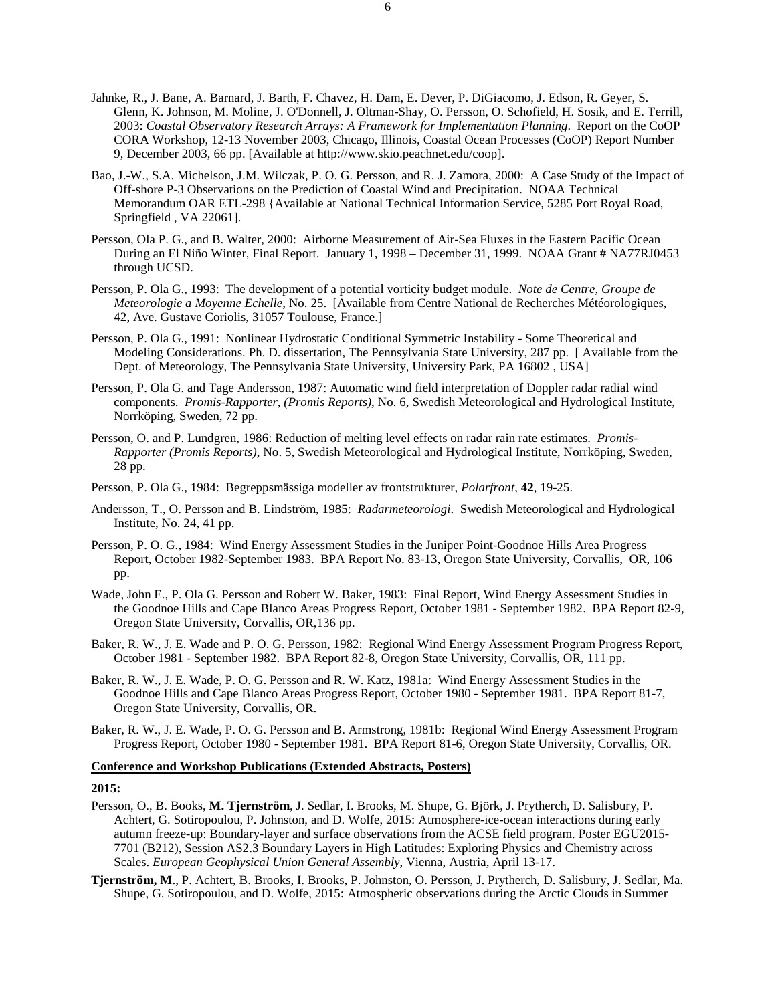- Jahnke, R., J. Bane, A. Barnard, J. Barth, F. Chavez, H. Dam, E. Dever, P. DiGiacomo, J. Edson, R. Geyer, S. Glenn, K. Johnson, M. Moline, J. O'Donnell, J. Oltman-Shay, O. Persson, O. Schofield, H. Sosik, and E. Terrill, 2003: *Coastal Observatory Research Arrays: A Framework for Implementation Planning*. Report on the CoOP CORA Workshop, 12-13 November 2003, Chicago, Illinois, Coastal Ocean Processes (CoOP) Report Number 9, December 2003, 66 pp. [Available at http://www.skio.peachnet.edu/coop].
- Bao, J.-W., S.A. Michelson, J.M. Wilczak, P. O. G. Persson, and R. J. Zamora, 2000: A Case Study of the Impact of Off-shore P-3 Observations on the Prediction of Coastal Wind and Precipitation. NOAA Technical Memorandum OAR ETL-298 {Available at National Technical Information Service, 5285 Port Royal Road, Springfield , VA 22061].
- Persson, Ola P. G., and B. Walter, 2000: Airborne Measurement of Air-Sea Fluxes in the Eastern Pacific Ocean During an El Niño Winter, Final Report. January 1, 1998 – December 31, 1999. NOAA Grant # NA77RJ0453 through UCSD.
- Persson, P. Ola G., 1993: The development of a potential vorticity budget module. *Note de Centre, Groupe de Meteorologie a Moyenne Echelle*, No. 25. [Available from Centre National de Recherches Météorologiques, 42, Ave. Gustave Coriolis, 31057 Toulouse, France.]
- Persson, P. Ola G., 1991: Nonlinear Hydrostatic Conditional Symmetric Instability Some Theoretical and Modeling Considerations. Ph. D. dissertation, The Pennsylvania State University, 287 pp. [ Available from the Dept. of Meteorology, The Pennsylvania State University, University Park, PA 16802, USA]
- Persson, P. Ola G. and Tage Andersson, 1987: Automatic wind field interpretation of Doppler radar radial wind components. *Promis-Rapporter, (Promis Reports)*, No. 6, Swedish Meteorological and Hydrological Institute, Norrköping, Sweden, 72 pp.
- Persson, O. and P. Lundgren, 1986: Reduction of melting level effects on radar rain rate estimates. *Promis-Rapporter (Promis Reports)*, No. 5, Swedish Meteorological and Hydrological Institute, Norrköping, Sweden, 28 pp.
- Persson, P. Ola G., 1984: Begreppsmässiga modeller av frontstrukturer, *Polarfront*, **42**, 19-25.
- Andersson, T., O. Persson and B. Lindström, 1985: *Radarmeteorologi*. Swedish Meteorological and Hydrological Institute, No. 24, 41 pp.
- Persson, P. O. G., 1984: Wind Energy Assessment Studies in the Juniper Point-Goodnoe Hills Area Progress Report, October 1982-September 1983. BPA Report No. 83-13, Oregon State University, Corvallis, OR, 106 pp.
- Wade, John E., P. Ola G. Persson and Robert W. Baker, 1983: Final Report, Wind Energy Assessment Studies in the Goodnoe Hills and Cape Blanco Areas Progress Report, October 1981 - September 1982. BPA Report 82-9, Oregon State University, Corvallis, OR,136 pp.
- Baker, R. W., J. E. Wade and P. O. G. Persson, 1982: Regional Wind Energy Assessment Program Progress Report, October 1981 - September 1982. BPA Report 82-8, Oregon State University, Corvallis, OR, 111 pp.
- Baker, R. W., J. E. Wade, P. O. G. Persson and R. W. Katz, 1981a: Wind Energy Assessment Studies in the Goodnoe Hills and Cape Blanco Areas Progress Report, October 1980 - September 1981. BPA Report 81-7, Oregon State University, Corvallis, OR.
- Baker, R. W., J. E. Wade, P. O. G. Persson and B. Armstrong, 1981b: Regional Wind Energy Assessment Program Progress Report, October 1980 - September 1981. BPA Report 81-6, Oregon State University, Corvallis, OR.

# **Conference and Workshop Publications (Extended Abstracts, Posters)**

- Persson, O., B. Books, **M. Tjernström**, J. Sedlar, I. Brooks, M. Shupe, G. Björk, J. Prytherch, D. Salisbury, P. Achtert, G. Sotiropoulou, P. Johnston, and D. Wolfe, 2015: Atmosphere-ice-ocean interactions during early autumn freeze-up: Boundary-layer and surface observations from the ACSE field program. Poster EGU2015- 7701 (B212), Session AS2.3 Boundary Layers in High Latitudes: Exploring Physics and Chemistry across Scales. *European Geophysical Union General Assembly*, Vienna, Austria, April 13-17.
- **Tjernström, M**., P. Achtert, B. Brooks, I. Brooks, P. Johnston, O. Persson, J. Prytherch, D. Salisbury, J. Sedlar, Ma. Shupe, G. Sotiropoulou, and D. Wolfe, 2015: Atmospheric observations during the Arctic Clouds in Summer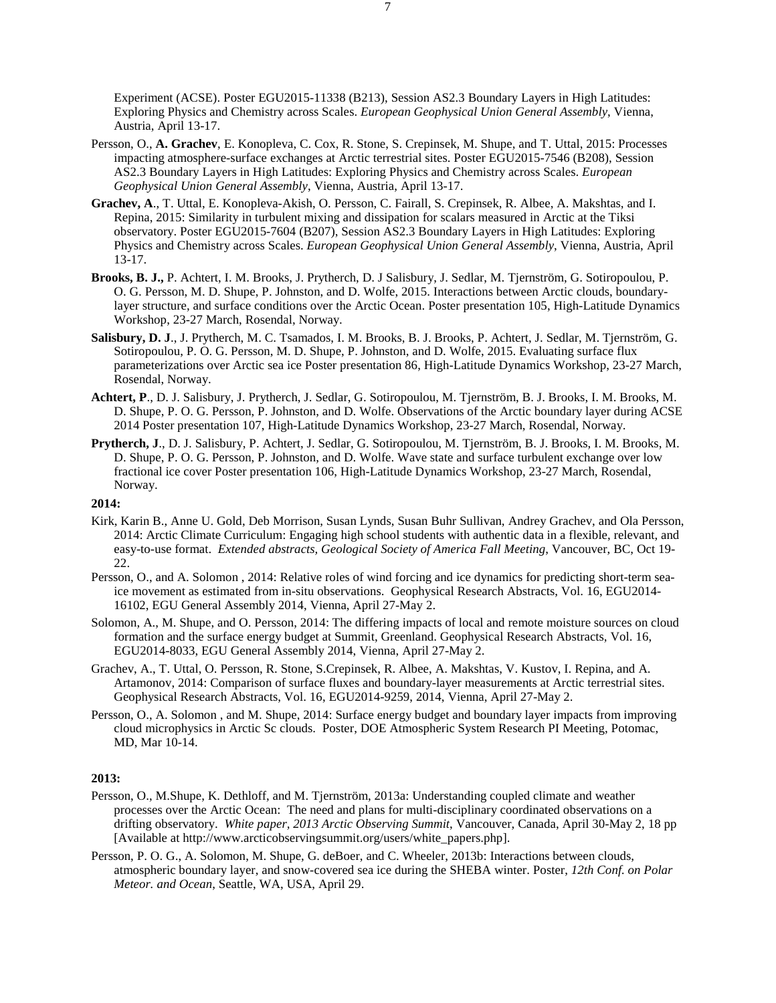Experiment (ACSE). Poster EGU2015-11338 (B213), Session AS2.3 Boundary Layers in High Latitudes: Exploring Physics and Chemistry across Scales. *European Geophysical Union General Assembly*, Vienna, Austria, April 13-17.

- Persson, O., **A. Grachev**, E. Konopleva, C. Cox, R. Stone, S. Crepinsek, M. Shupe, and T. Uttal, 2015: Processes impacting atmosphere-surface exchanges at Arctic terrestrial sites. Poster EGU2015-7546 (B208), Session AS2.3 Boundary Layers in High Latitudes: Exploring Physics and Chemistry across Scales. *European Geophysical Union General Assembly*, Vienna, Austria, April 13-17.
- **Grachev, A**., T. Uttal, E. Konopleva-Akish, O. Persson, C. Fairall, S. Crepinsek, R. Albee, A. Makshtas, and I. Repina, 2015: Similarity in turbulent mixing and dissipation for scalars measured in Arctic at the Tiksi observatory. Poster EGU2015-7604 (B207), Session AS2.3 Boundary Layers in High Latitudes: Exploring Physics and Chemistry across Scales. *European Geophysical Union General Assembly*, Vienna, Austria, April 13-17.
- **Brooks, B. J.,** P. Achtert, I. M. Brooks, J. Prytherch, D. J Salisbury, J. Sedlar, M. Tjernström, G. Sotiropoulou, P. O. G. Persson, M. D. Shupe, P. Johnston, and D. Wolfe, 2015. Interactions between Arctic clouds, boundarylayer structure, and surface conditions over the Arctic Ocean. Poster presentation 105, High-Latitude Dynamics Workshop, 23-27 March, Rosendal, Norway.
- **Salisbury, D. J**., J. Prytherch, M. C. Tsamados, I. M. Brooks, B. J. Brooks, P. Achtert, J. Sedlar, M. Tjernström, G. Sotiropoulou, P. O. G. Persson, M. D. Shupe, P. Johnston, and D. Wolfe, 2015. Evaluating surface flux parameterizations over Arctic sea ice Poster presentation 86, High-Latitude Dynamics Workshop, 23-27 March, Rosendal, Norway.
- **Achtert, P**., D. J. Salisbury, J. Prytherch, J. Sedlar, G. Sotiropoulou, M. Tjernström, B. J. Brooks, I. M. Brooks, M. D. Shupe, P. O. G. Persson, P. Johnston, and D. Wolfe. Observations of the Arctic boundary layer during ACSE 2014 Poster presentation 107, High-Latitude Dynamics Workshop, 23-27 March, Rosendal, Norway.
- **Prytherch, J**., D. J. Salisbury, P. Achtert, J. Sedlar, G. Sotiropoulou, M. Tjernström, B. J. Brooks, I. M. Brooks, M. D. Shupe, P. O. G. Persson, P. Johnston, and D. Wolfe. Wave state and surface turbulent exchange over low fractional ice cover Poster presentation 106, High-Latitude Dynamics Workshop, 23-27 March, Rosendal, Norway.

## **2014:**

- Kirk, Karin B., Anne U. Gold, Deb Morrison, Susan Lynds, Susan Buhr Sullivan, Andrey Grachev, and Ola Persson, 2014: Arctic Climate Curriculum: Engaging high school students with authentic data in a flexible, relevant, and easy-to-use format. *Extended abstracts, Geological Society of America Fall Meeting*, Vancouver, BC, Oct 19- 22.
- Persson, O., and A. Solomon , 2014: Relative roles of wind forcing and ice dynamics for predicting short-term seaice movement as estimated from in-situ observations. Geophysical Research Abstracts, Vol. 16, EGU2014- 16102, EGU General Assembly 2014, Vienna, April 27-May 2.
- Solomon, A., M. Shupe, and O. Persson, 2014: The differing impacts of local and remote moisture sources on cloud formation and the surface energy budget at Summit, Greenland. Geophysical Research Abstracts, Vol. 16, EGU2014-8033, EGU General Assembly 2014, Vienna, April 27-May 2.
- Grachev, A., T. Uttal, O. Persson, R. Stone, S.Crepinsek, R. Albee, A. Makshtas, V. Kustov, I. Repina, and A. Artamonov, 2014: Comparison of surface fluxes and boundary-layer measurements at Arctic terrestrial sites. Geophysical Research Abstracts, Vol. 16, EGU2014-9259, 2014, Vienna, April 27-May 2.
- Persson, O., A. Solomon , and M. Shupe, 2014: Surface energy budget and boundary layer impacts from improving cloud microphysics in Arctic Sc clouds. Poster, DOE Atmospheric System Research PI Meeting, Potomac, MD, Mar 10-14.

- Persson, O., M.Shupe, K. Dethloff, and M. Tjernström, 2013a: Understanding coupled climate and weather processes over the Arctic Ocean: The need and plans for multi-disciplinary coordinated observations on a drifting observatory. *White paper, 2013 Arctic Observing Summit*, Vancouver, Canada, April 30-May 2, 18 pp [Available at http://www.arcticobservingsummit.org/users/white\_papers.php].
- Persson, P. O. G., A. Solomon, M. Shupe, G. deBoer, and C. Wheeler, 2013b: Interactions between clouds, atmospheric boundary layer, and snow-covered sea ice during the SHEBA winter. Poster, *12th Conf. on Polar Meteor. and Ocean*, Seattle, WA, USA, April 29.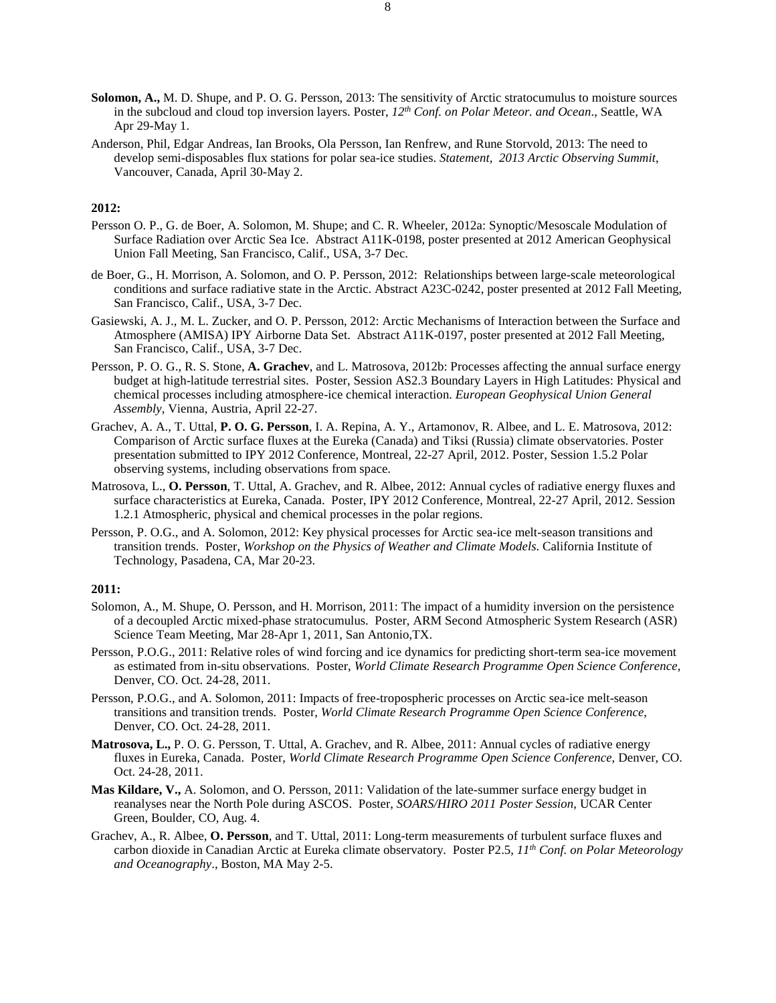- **Solomon, A.,** M. D. Shupe, and P. O. G. Persson, 2013: The sensitivity of Arctic stratocumulus to moisture sources in the subcloud and cloud top inversion layers. Poster, *12th Conf. on Polar Meteor. and Ocean*., Seattle, WA Apr 29-May 1.
- Anderson, Phil, Edgar Andreas, Ian Brooks, Ola Persson, Ian Renfrew, and Rune Storvold, 2013: The need to develop semi-disposables flux stations for polar sea-ice studies. *Statement, 2013 Arctic Observing Summit*, Vancouver, Canada, April 30-May 2.

- Persson O. P., G. de Boer, A. Solomon, M. Shupe; and C. R. Wheeler, 2012a: Synoptic/Mesoscale Modulation of Surface Radiation over Arctic Sea Ice. Abstract A11K-0198, poster presented at 2012 American Geophysical Union Fall Meeting, San Francisco, Calif., USA, 3-7 Dec.
- de Boer, G., H. Morrison, A. Solomon, and O. P. Persson, 2012: Relationships between large-scale meteorological conditions and surface radiative state in the Arctic. Abstract A23C-0242, poster presented at 2012 Fall Meeting, San Francisco, Calif., USA, 3-7 Dec.
- Gasiewski, A. J., M. L. Zucker, and O. P. Persson, 2012: Arctic Mechanisms of Interaction between the Surface and Atmosphere (AMISA) IPY Airborne Data Set. Abstract A11K-0197, poster presented at 2012 Fall Meeting, San Francisco, Calif., USA, 3-7 Dec.
- Persson, P. O. G., R. S. Stone, **A. Grachev**, and L. Matrosova, 2012b: Processes affecting the annual surface energy budget at high-latitude terrestrial sites. Poster, Session AS2.3 Boundary Layers in High Latitudes: Physical and chemical processes including atmosphere-ice chemical interaction. *European Geophysical Union General Assembly*, Vienna, Austria, April 22-27.
- Grachev, A. A., T. Uttal, **P. O. G. Persson**, I. A. Repina, A. Y., Artamonov, R. Albee, and L. E. Matrosova, 2012: Comparison of Arctic surface fluxes at the Eureka (Canada) and Tiksi (Russia) climate observatories. Poster presentation submitted to IPY 2012 Conference, Montreal, 22-27 April, 2012. Poster, Session 1.5.2 Polar observing systems, including observations from space.
- Matrosova, L., **O. Persson**, T. Uttal, A. Grachev, and R. Albee, 2012: Annual cycles of radiative energy fluxes and surface characteristics at Eureka, Canada. Poster, IPY 2012 Conference, Montreal, 22-27 April, 2012. Session 1.2.1 Atmospheric, physical and chemical processes in the polar regions.
- Persson, P. O.G., and A. Solomon, 2012: Key physical processes for Arctic sea-ice melt-season transitions and transition trends. Poster, *Workshop on the Physics of Weather and Climate Models*. California Institute of Technology, Pasadena, CA, Mar 20-23.

- Solomon, A., M. Shupe, O. Persson, and H. Morrison, 2011: The impact of a humidity inversion on the persistence of a decoupled Arctic mixed-phase stratocumulus. Poster, ARM Second Atmospheric System Research (ASR) Science Team Meeting, Mar 28-Apr 1, 2011, San Antonio,TX.
- Persson, P.O.G., 2011: Relative roles of wind forcing and ice dynamics for predicting short-term sea-ice movement as estimated from in-situ observations. Poster, *World Climate Research Programme Open Science Conference*, Denver, CO. Oct. 24-28, 2011.
- Persson, P.O.G., and A. Solomon, 2011: Impacts of free-tropospheric processes on Arctic sea-ice melt-season transitions and transition trends. Poster, *World Climate Research Programme Open Science Conference*, Denver, CO. Oct. 24-28, 2011.
- **Matrosova, L.,** P. O. G. Persson, T. Uttal, A. Grachev, and R. Albee, 2011: Annual cycles of radiative energy fluxes in Eureka, Canada. Poster, *World Climate Research Programme Open Science Conference*, Denver, CO. Oct. 24-28, 2011.
- **Mas Kildare, V.,** A. Solomon, and O. Persson, 2011: Validation of the late-summer surface energy budget in reanalyses near the North Pole during ASCOS. Poster, *SOARS/HIRO 2011 Poster Session*, UCAR Center Green, Boulder, CO, Aug. 4.
- Grachev, A., R. Albee, **O. Persson**, and T. Uttal, 2011: Long-term measurements of turbulent surface fluxes and carbon dioxide in Canadian Arctic at Eureka climate observatory. Poster P2.5, *11th Conf. on Polar Meteorology and Oceanography*., Boston, MA May 2-5.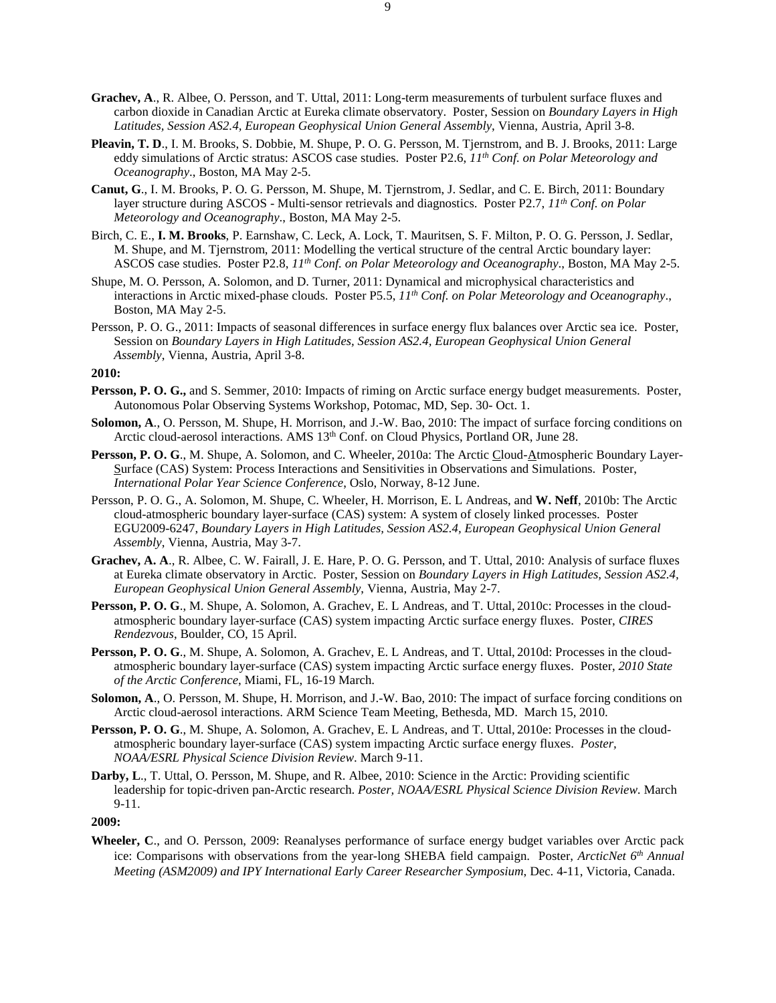- **Grachev, A**., R. Albee, O. Persson, and T. Uttal, 2011: Long-term measurements of turbulent surface fluxes and carbon dioxide in Canadian Arctic at Eureka climate observatory. Poster, Session on *Boundary Layers in High Latitudes, Session AS2.4, European Geophysical Union General Assembly*, Vienna, Austria, April 3-8.
- **Pleavin, T. D**., I. M. Brooks, S. Dobbie, M. Shupe, P. O. G. Persson, M. Tjernstrom, and B. J. Brooks, 2011: Large eddy simulations of Arctic stratus: ASCOS case studies. Poster P2.6, *11th Conf. on Polar Meteorology and Oceanography*., Boston, MA May 2-5.
- **Canut, G**., I. M. Brooks, P. O. G. Persson, M. Shupe, M. Tjernstrom, J. Sedlar, and C. E. Birch, 2011: Boundary layer structure during ASCOS - Multi-sensor retrievals and diagnostics. Poster P2.7, *11th Conf. on Polar Meteorology and Oceanography*., Boston, MA May 2-5.
- Birch, C. E., **I. M. Brooks**, P. Earnshaw, C. Leck, A. Lock, T. Mauritsen, S. F. Milton, P. O. G. Persson, J. Sedlar, M. Shupe, and M. Tjernstrom, 2011: Modelling the vertical structure of the central Arctic boundary layer: ASCOS case studies. Poster P2.8, *11th Conf. on Polar Meteorology and Oceanography*., Boston, MA May 2-5.
- Shupe, M. O. Persson, A. Solomon, and D. Turner, 2011: Dynamical and microphysical characteristics and interactions in Arctic mixed-phase clouds. Poster P5.5, *11th Conf. on Polar Meteorology and Oceanography*., Boston, MA May 2-5.
- Persson, P. O. G., 2011: Impacts of seasonal differences in surface energy flux balances over Arctic sea ice. Poster, Session on *Boundary Layers in High Latitudes, Session AS2.4, European Geophysical Union General Assembly*, Vienna, Austria, April 3-8.

- **Persson, P. O. G.,** and S. Semmer, 2010: Impacts of riming on Arctic surface energy budget measurements. Poster, Autonomous Polar Observing Systems Workshop, Potomac, MD, Sep. 30- Oct. 1.
- **Solomon, A**., O. Persson, M. Shupe, H. Morrison, and J.-W. Bao, 2010: The impact of surface forcing conditions on Arctic cloud-aerosol interactions. AMS 13<sup>th</sup> Conf. on Cloud Physics, Portland OR, June 28.
- **Persson, P. O. G**., M. Shupe, A. Solomon, and C. Wheeler, 2010a: The Arctic Cloud-Atmospheric Boundary Layer-Surface (CAS) System: Process Interactions and Sensitivities in Observations and Simulations. Poster, *International Polar Year Science Conference*, Oslo, Norway, 8-12 June.
- Persson, P. O. G., A. Solomon, M. Shupe, C. Wheeler, H. Morrison, E. L Andreas, and **W. Neff**, 2010b: The Arctic cloud-atmospheric boundary layer-surface (CAS) system: A system of closely linked processes. Poster EGU2009-6247, *Boundary Layers in High Latitudes, Session AS2.4, European Geophysical Union General Assembly*, Vienna, Austria, May 3-7.
- **Grachev, A. A**., R. Albee, C. W. Fairall, J. E. Hare, P. O. G. Persson, and T. Uttal, 2010: Analysis of surface fluxes at Eureka climate observatory in Arctic. Poster, Session on *Boundary Layers in High Latitudes, Session AS2.4, European Geophysical Union General Assembly*, Vienna, Austria, May 2-7.
- **Persson, P. O. G**., M. Shupe, A. Solomon, A. Grachev, E. L Andreas, and T. Uttal, 2010c: Processes in the cloudatmospheric boundary layer-surface (CAS) system impacting Arctic surface energy fluxes. Poster, *CIRES Rendezvous*, Boulder, CO, 15 April.
- **Persson, P. O. G**., M. Shupe, A. Solomon, A. Grachev, E. L Andreas, and T. Uttal, 2010d: Processes in the cloudatmospheric boundary layer-surface (CAS) system impacting Arctic surface energy fluxes. Poster, *2010 State of the Arctic Conference*, Miami, FL, 16-19 March.
- **Solomon, A**., O. Persson, M. Shupe, H. Morrison, and J.-W. Bao, 2010: The impact of surface forcing conditions on Arctic cloud-aerosol interactions. ARM Science Team Meeting, Bethesda, MD. March 15, 2010.
- **Persson, P. O. G**., M. Shupe, A. Solomon, A. Grachev, E. L Andreas, and T. Uttal, 2010e: Processes in the cloudatmospheric boundary layer-surface (CAS) system impacting Arctic surface energy fluxes. *Poster, NOAA/ESRL Physical Science Division Review*. March 9-11.
- **Darby, L**., T. Uttal, O. Persson, M. Shupe, and R. Albee, 2010: Science in the Arctic: Providing scientific leadership for topic-driven pan-Arctic research. *Poster, NOAA/ESRL Physical Science Division Review*. March 9-11.

**2009:**

**Wheeler, C**., and O. Persson, 2009: Reanalyses performance of surface energy budget variables over Arctic pack ice: Comparisons with observations from the year-long SHEBA field campaign. Poster, *ArcticNet 6th Annual Meeting (ASM2009) and IPY International Early Career Researcher Symposium*, Dec. 4-11, Victoria, Canada.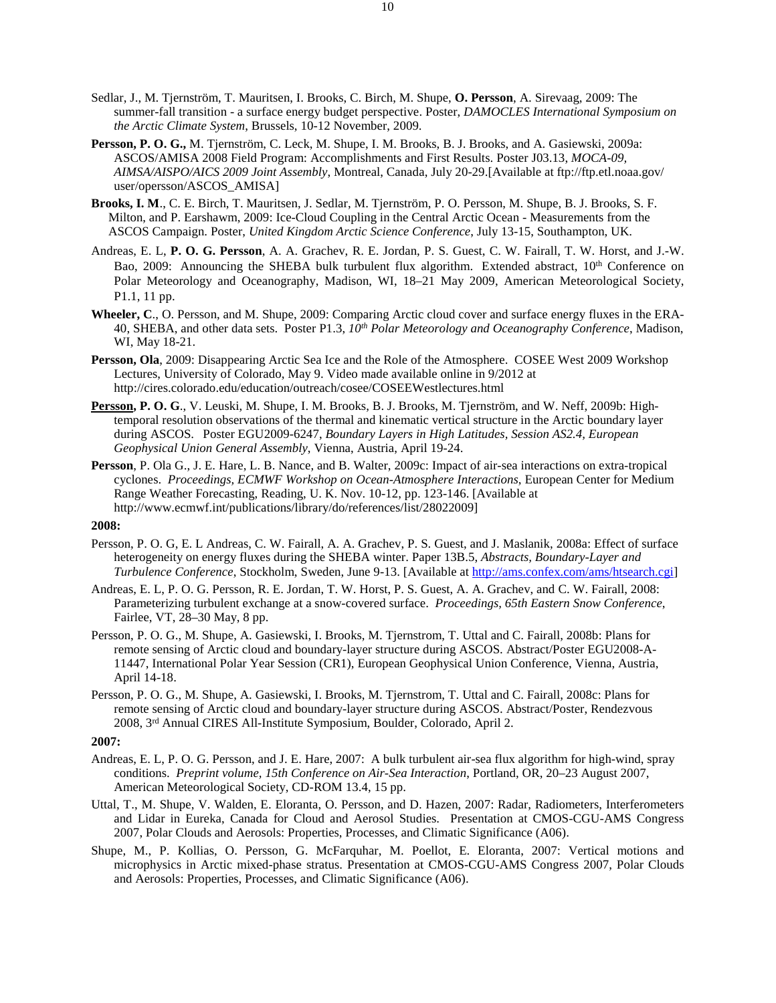- Sedlar, J., M. Tjernström, T. Mauritsen, I. Brooks, C. Birch, M. Shupe, **O. Persson**, A. Sirevaag, 2009: The summer-fall transition - a surface energy budget perspective. Poster, *DAMOCLES International Symposium on the Arctic Climate System*, Brussels, 10-12 November, 2009.
- **Persson, P. O. G.,** M. Tjernström, C. Leck, M. Shupe, I. M. Brooks, B. J. Brooks, and A. Gasiewski, 2009a: ASCOS/AMISA 2008 Field Program: Accomplishments and First Results. Poster J03.13, *MOCA-09, AIMSA/AISPO/AICS 2009 Joint Assembly*, Montreal, Canada, July 20-29.[Available at ftp://ftp.etl.noaa.gov/ user/opersson/ASCOS\_AMISA]
- **Brooks, I. M**., C. E. Birch, T. Mauritsen, J. Sedlar, M. Tjernström, P. O. Persson, M. Shupe, B. J. Brooks, S. F. Milton, and P. Earshawm, 2009: Ice-Cloud Coupling in the Central Arctic Ocean - Measurements from the ASCOS Campaign. Poster, *United Kingdom Arctic Science Conference*, July 13-15, Southampton, UK.
- Andreas, E. L, **P. O. G. Persson**, A. A. Grachev, R. E. Jordan, P. S. Guest, C. W. Fairall, T. W. Horst, and J.-W. Bao, 2009: Announcing the SHEBA bulk turbulent flux algorithm. Extended abstract, 10<sup>th</sup> Conference on Polar Meteorology and Oceanography, Madison, WI, 18–21 May 2009, American Meteorological Society, P1.1, 11 pp.
- **Wheeler, C**., O. Persson, and M. Shupe, 2009: Comparing Arctic cloud cover and surface energy fluxes in the ERA-40, SHEBA, and other data sets. Poster P1.3, *10th Polar Meteorology and Oceanography Conference*, Madison, WI, May 18-21.
- **Persson, Ola**, 2009: Disappearing Arctic Sea Ice and the Role of the Atmosphere. COSEE West 2009 Workshop Lectures, University of Colorado, May 9. Video made available online in 9/2012 at http://cires.colorado.edu/education/outreach/cosee/COSEEWestlectures.html
- **Persson, P. O. G**., V. Leuski, M. Shupe, I. M. Brooks, B. J. Brooks, M. Tjernström, and W. Neff, 2009b: Hightemporal resolution observations of the thermal and kinematic vertical structure in the Arctic boundary layer during ASCOS. Poster EGU2009-6247, *Boundary Layers in High Latitudes, Session AS2.4, European Geophysical Union General Assembly*, Vienna, Austria, April 19-24.
- **Persson**, P. Ola G., J. E. Hare, L. B. Nance, and B. Walter, 2009c: Impact of air-sea interactions on extra-tropical cyclones. *Proceedings, ECMWF Workshop on Ocean-Atmosphere Interactions*, European Center for Medium Range Weather Forecasting, Reading, U. K. Nov. 10-12, pp. 123-146. [Available at http://www.ecmwf.int/publications/library/do/references/list/28022009]

- Persson, P. O. G, E. L Andreas, C. W. Fairall, A. A. Grachev, P. S. Guest, and J. Maslanik, 2008a: Effect of surface heterogeneity on energy fluxes during the SHEBA winter. Paper 13B.5, *Abstracts, Boundary-Layer and Turbulence Conference*, Stockholm, Sweden, June 9-13. [Available a[t http://ams.confex.com/ams/htsearch.cgi\]](http://ams.confex.com/ams/htsearch.cgi)
- Andreas, E. L, P. O. G. Persson, R. E. Jordan, T. W. Horst, P. S. Guest, A. A. Grachev, and C. W. Fairall, 2008: Parameterizing turbulent exchange at a snow-covered surface. *Proceedings, 65th Eastern Snow Conference*, Fairlee, VT, 28–30 May, 8 pp.
- Persson, P. O. G., M. Shupe, A. Gasiewski, I. Brooks, M. Tjernstrom, T. Uttal and C. Fairall, 2008b: Plans for remote sensing of Arctic cloud and boundary-layer structure during ASCOS. Abstract/Poster EGU2008-A-11447, International Polar Year Session (CR1), European Geophysical Union Conference, Vienna, Austria, April 14-18.
- Persson, P. O. G., M. Shupe, A. Gasiewski, I. Brooks, M. Tjernstrom, T. Uttal and C. Fairall, 2008c: Plans for remote sensing of Arctic cloud and boundary-layer structure during ASCOS. Abstract/Poster, Rendezvous 2008, 3rd Annual CIRES All-Institute Symposium, Boulder, Colorado, April 2.

- Andreas, E. L, P. O. G. Persson, and J. E. Hare, 2007: A bulk turbulent air-sea flux algorithm for high-wind, spray conditions. *Preprint volume, 15th Conference on Air-Sea Interaction*, Portland, OR, 20–23 August 2007, American Meteorological Society, CD-ROM 13.4, 15 pp.
- Uttal, T., M. Shupe, V. Walden, E. Eloranta, O. Persson, and D. Hazen, 2007: Radar, Radiometers, Interferometers and Lidar in Eureka, Canada for Cloud and Aerosol Studies. Presentation at CMOS-CGU-AMS Congress 2007, Polar Clouds and Aerosols: Properties, Processes, and Climatic Significance (A06).
- Shupe, M., P. Kollias, O. Persson, G. McFarquhar, M. Poellot, E. Eloranta, 2007: Vertical motions and microphysics in Arctic mixed-phase stratus. Presentation at CMOS-CGU-AMS Congress 2007, Polar Clouds and Aerosols: Properties, Processes, and Climatic Significance (A06).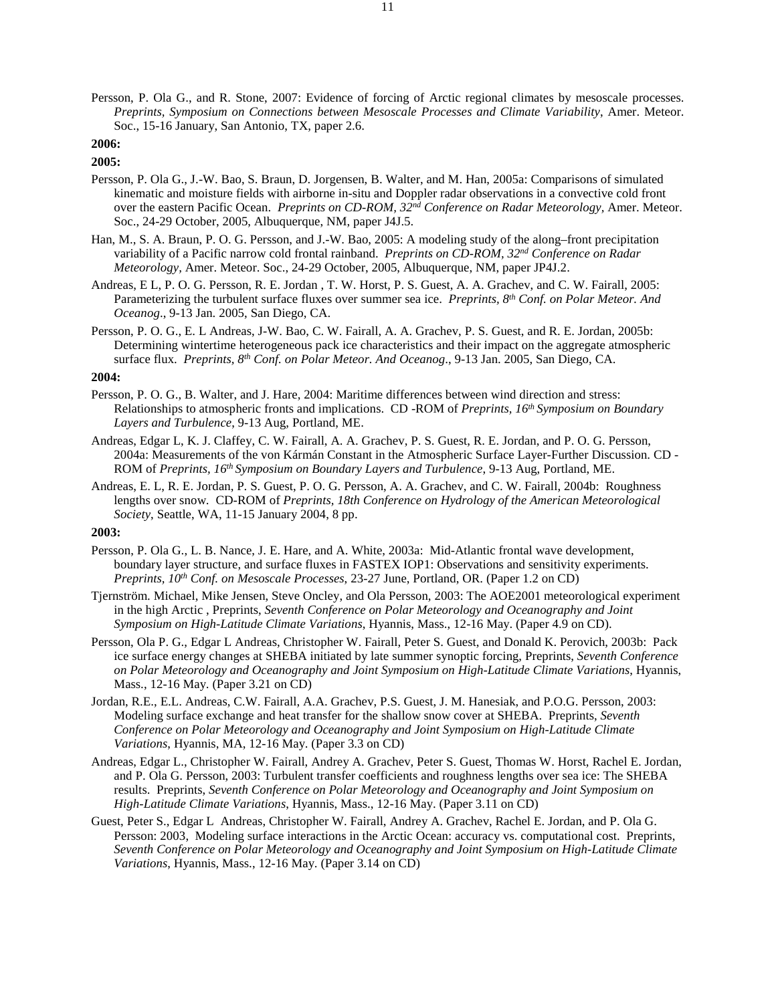Persson, P. Ola G., and R. Stone, 2007: Evidence of forcing of Arctic regional climates by mesoscale processes. *Preprints, Symposium on Connections between Mesoscale Processes and Climate Variability*, Amer. Meteor. Soc., 15-16 January, San Antonio, TX, paper 2.6.

# **2006:**

# **2005:**

- Persson, P. Ola G., J.-W. Bao, S. Braun, D. Jorgensen, B. Walter, and M. Han, 2005a: Comparisons of simulated kinematic and moisture fields with airborne in-situ and Doppler radar observations in a convective cold front over the eastern Pacific Ocean. *Preprints on CD-ROM, 32nd Conference on Radar Meteorology,* Amer. Meteor. Soc., 24-29 October, 2005, Albuquerque, NM, paper J4J.5.
- Han, M., S. A. Braun, P. O. G. Persson, and J.-W. Bao, 2005: A modeling study of the along–front precipitation variability of a Pacific narrow cold frontal rainband. *Preprints on CD-ROM, 32nd Conference on Radar Meteorology,* Amer. Meteor. Soc., 24-29 October, 2005, Albuquerque, NM, paper JP4J.2.
- Andreas, E L, P. O. G. Persson, R. E. Jordan , T. W. Horst, P. S. Guest, A. A. Grachev, and C. W. Fairall, 2005: Parameterizing the turbulent surface fluxes over summer sea ice. *Preprints, 8th Conf. on Polar Meteor. And Oceanog*., 9-13 Jan. 2005, San Diego, CA.
- Persson, P. O. G., E. L Andreas, J-W. Bao, C. W. Fairall, A. A. Grachev, P. S. Guest, and R. E. Jordan, 2005b: Determining wintertime heterogeneous pack ice characteristics and their impact on the aggregate atmospheric surface flux. *Preprints, 8th Conf. on Polar Meteor. And Oceanog*., 9-13 Jan. 2005, San Diego, CA.

#### **2004:**

- Persson, P. O. G., B. Walter, and J. Hare, 2004: Maritime differences between wind direction and stress: Relationships to atmospheric fronts and implications. CD -ROM of *Preprints, 16th Symposium on Boundary Layers and Turbulence*, 9-13 Aug, Portland, ME.
- Andreas, Edgar L, K. J. Claffey, C. W. Fairall, A. A. Grachev, P. S. Guest, R. E. Jordan, and P. O. G. Persson, 2004a: Measurements of the von Kármán Constant in the Atmospheric Surface Layer-Further Discussion. CD - ROM of *Preprints, 16th Symposium on Boundary Layers and Turbulence*, 9-13 Aug, Portland, ME.
- Andreas, E. L, R. E. Jordan, P. S. Guest, P. O. G. Persson, A. A. Grachev, and C. W. Fairall, 2004b: Roughness lengths over snow. CD-ROM of *Preprints, 18th Conference on Hydrology of the American Meteorological Society*, Seattle, WA, 11-15 January 2004, 8 pp.

- Persson, P. Ola G., L. B. Nance, J. E. Hare, and A. White, 2003a: Mid-Atlantic frontal wave development, boundary layer structure, and surface fluxes in FASTEX IOP1: Observations and sensitivity experiments. *Preprints, 10th Conf. on Mesoscale Processes*, 23-27 June, Portland, OR. (Paper 1.2 on CD)
- Tjernström. Michael, Mike Jensen, Steve Oncley, and Ola Persson, 2003: The AOE2001 meteorological experiment in the high Arctic , Preprints, *Seventh Conference on Polar Meteorology and Oceanography and Joint Symposium on High-Latitude Climate Variations*, Hyannis, Mass., 12-16 May. (Paper 4.9 on CD).
- Persson, Ola P. G., Edgar L Andreas, Christopher W. Fairall, Peter S. Guest, and Donald K. Perovich, 2003b: Pack ice surface energy changes at SHEBA initiated by late summer synoptic forcing, Preprints, *Seventh Conference on Polar Meteorology and Oceanography and Joint Symposium on High-Latitude Climate Variations*, Hyannis, Mass., 12-16 May. (Paper 3.21 on CD)
- Jordan, R.E., E.L. Andreas, C.W. Fairall, A.A. Grachev, P.S. Guest, J. M. Hanesiak, and P.O.G. Persson, 2003: Modeling surface exchange and heat transfer for the shallow snow cover at SHEBA. Preprints, *Seventh Conference on Polar Meteorology and Oceanography and Joint Symposium on High-Latitude Climate Variations*, Hyannis, MA, 12-16 May. (Paper 3.3 on CD)
- Andreas, Edgar L., Christopher W. Fairall, Andrey A. Grachev, Peter S. Guest, Thomas W. Horst, Rachel E. Jordan, and P. Ola G. Persson, 2003: Turbulent transfer coefficients and roughness lengths over sea ice: The SHEBA results. Preprints, *Seventh Conference on Polar Meteorology and Oceanography and Joint Symposium on High-Latitude Climate Variations*, Hyannis, Mass., 12-16 May. (Paper 3.11 on CD)
- Guest, Peter S., Edgar L Andreas, Christopher W. Fairall, Andrey A. Grachev, Rachel E. Jordan, and P. Ola G. Persson: 2003, Modeling surface interactions in the Arctic Ocean: accuracy vs. computational cost. Preprints, *Seventh Conference on Polar Meteorology and Oceanography and Joint Symposium on High-Latitude Climate Variations*, Hyannis, Mass., 12-16 May. (Paper 3.14 on CD)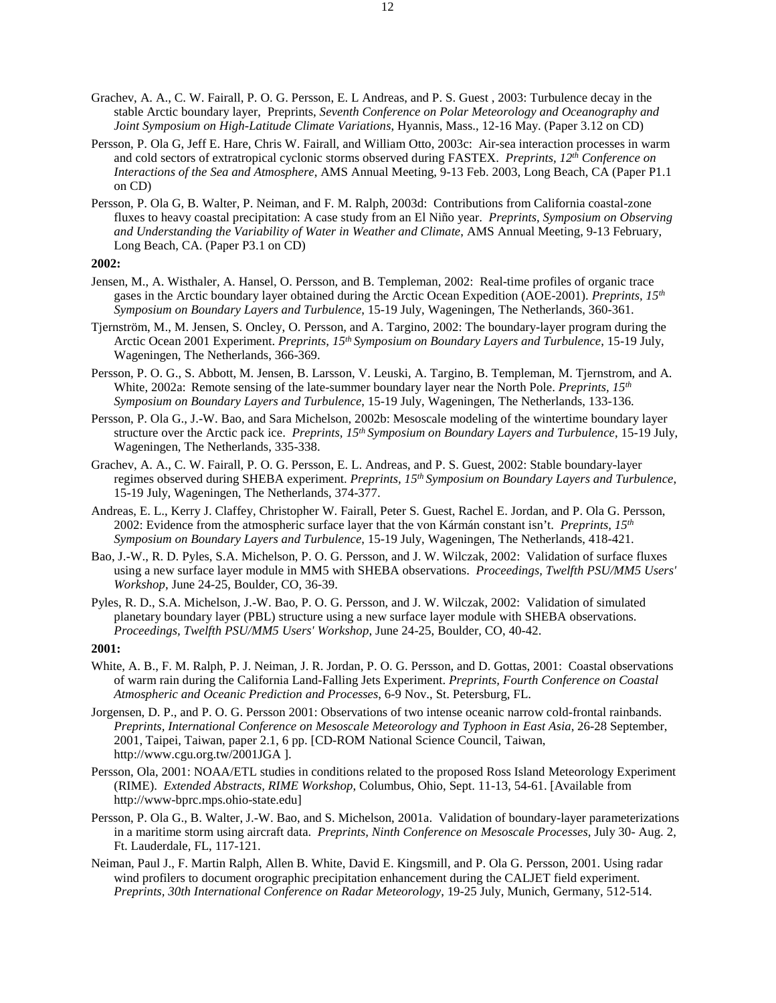- Grachev, A. A., C. W. Fairall, P. O. G. Persson, E. L Andreas, and P. S. Guest , 2003: Turbulence decay in the stable Arctic boundary layer, Preprints, *Seventh Conference on Polar Meteorology and Oceanography and Joint Symposium on High-Latitude Climate Variations*, Hyannis, Mass., 12-16 May. (Paper 3.12 on CD)
- Persson, P. Ola G, Jeff E. Hare, Chris W. Fairall, and William Otto, 2003c: Air-sea interaction processes in warm and cold sectors of extratropical cyclonic storms observed during FASTEX. *Preprints, 12th Conference on Interactions of the Sea and Atmosphere*, AMS Annual Meeting, 9-13 Feb. 2003, Long Beach, CA (Paper P1.1 on CD)
- Persson, P. Ola G, B. Walter, P. Neiman, and F. M. Ralph, 2003d: Contributions from California coastal-zone fluxes to heavy coastal precipitation: A case study from an El Niño year. *Preprints, Symposium on Observing and Understanding the Variability of Water in Weather and Climate*, AMS Annual Meeting, 9-13 February, Long Beach, CA. (Paper P3.1 on CD)

- Jensen, M., A. Wisthaler, A. Hansel, O. Persson, and B. Templeman, 2002: Real-time profiles of organic trace gases in the Arctic boundary layer obtained during the Arctic Ocean Expedition (AOE-2001). *Preprints, 15th Symposium on Boundary Layers and Turbulence*, 15-19 July, Wageningen, The Netherlands, 360-361.
- Tjernström, M., M. Jensen, S. Oncley, O. Persson, and A. Targino, 2002: The boundary-layer program during the Arctic Ocean 2001 Experiment. *Preprints, 15th Symposium on Boundary Layers and Turbulence*, 15-19 July, Wageningen, The Netherlands, 366-369.
- Persson, P. O. G., S. Abbott, M. Jensen, B. Larsson, V. Leuski, A. Targino, B. Templeman, M. Tjernstrom, and A. White, 2002a: Remote sensing of the late-summer boundary layer near the North Pole. *Preprints, 15th Symposium on Boundary Layers and Turbulence*, 15-19 July, Wageningen, The Netherlands, 133-136.
- Persson, P. Ola G., J.-W. Bao, and Sara Michelson, 2002b: Mesoscale modeling of the wintertime boundary layer structure over the Arctic pack ice. *Preprints, 15th Symposium on Boundary Layers and Turbulence*, 15-19 July, Wageningen, The Netherlands, 335-338.
- Grachev, A. A., C. W. Fairall, P. O. G. Persson, E. L. Andreas, and P. S. Guest, 2002: Stable boundary-layer regimes observed during SHEBA experiment. *Preprints, 15th Symposium on Boundary Layers and Turbulence*, 15-19 July, Wageningen, The Netherlands, 374-377.
- Andreas, E. L., Kerry J. Claffey, Christopher W. Fairall, Peter S. Guest, Rachel E. Jordan, and P. Ola G. Persson, 2002: Evidence from the atmospheric surface layer that the von Kármán constant isn't. *Preprints, 15th Symposium on Boundary Layers and Turbulence*, 15-19 July, Wageningen, The Netherlands, 418-421.
- Bao, J.-W., R. D. Pyles, S.A. Michelson, P. O. G. Persson, and J. W. Wilczak, 2002: Validation of surface fluxes using a new surface layer module in MM5 with SHEBA observations. *Proceedings, Twelfth PSU/MM5 Users' Workshop*, June 24-25, Boulder, CO, 36-39.
- Pyles, R. D., S.A. Michelson, J.-W. Bao, P. O. G. Persson, and J. W. Wilczak, 2002: Validation of simulated planetary boundary layer (PBL) structure using a new surface layer module with SHEBA observations. *Proceedings, Twelfth PSU/MM5 Users' Workshop*, June 24-25, Boulder, CO, 40-42.

- White, A. B., F. M. Ralph, P. J. Neiman, J. R. Jordan, P. O. G. Persson, and D. Gottas, 2001: Coastal observations of warm rain during the California Land-Falling Jets Experiment. *Preprints, Fourth Conference on Coastal Atmospheric and Oceanic Prediction and Processes*, 6-9 Nov., St. Petersburg, FL.
- Jorgensen, D. P., and P. O. G. Persson 2001: Observations of two intense oceanic narrow cold-frontal rainbands. *Preprints, International Conference on Mesoscale Meteorology and Typhoon in East Asia*, 26-28 September, 2001, Taipei, Taiwan, paper 2.1, 6 pp. [CD-ROM National Science Council, Taiwan, http://www.cgu.org.tw/2001JGA ].
- Persson, Ola, 2001: NOAA/ETL studies in conditions related to the proposed Ross Island Meteorology Experiment (RIME). *Extended Abstracts, RIME Workshop*, Columbus, Ohio, Sept. 11-13, 54-61. [Available from http://www-bprc.mps.ohio-state.edu]
- Persson, P. Ola G., B. Walter, J.-W. Bao, and S. Michelson, 2001a. Validation of boundary-layer parameterizations in a maritime storm using aircraft data. *Preprints, Ninth Conference on Mesoscale Processes*, July 30- Aug. 2, Ft. Lauderdale, FL, 117-121.
- Neiman, Paul J., F. Martin Ralph, Allen B. White, David E. Kingsmill, and P. Ola G. Persson, 2001. Using radar wind profilers to document orographic precipitation enhancement during the CALJET field experiment. *Preprints, 30th International Conference on Radar Meteorology*, 19-25 July, Munich, Germany, 512-514.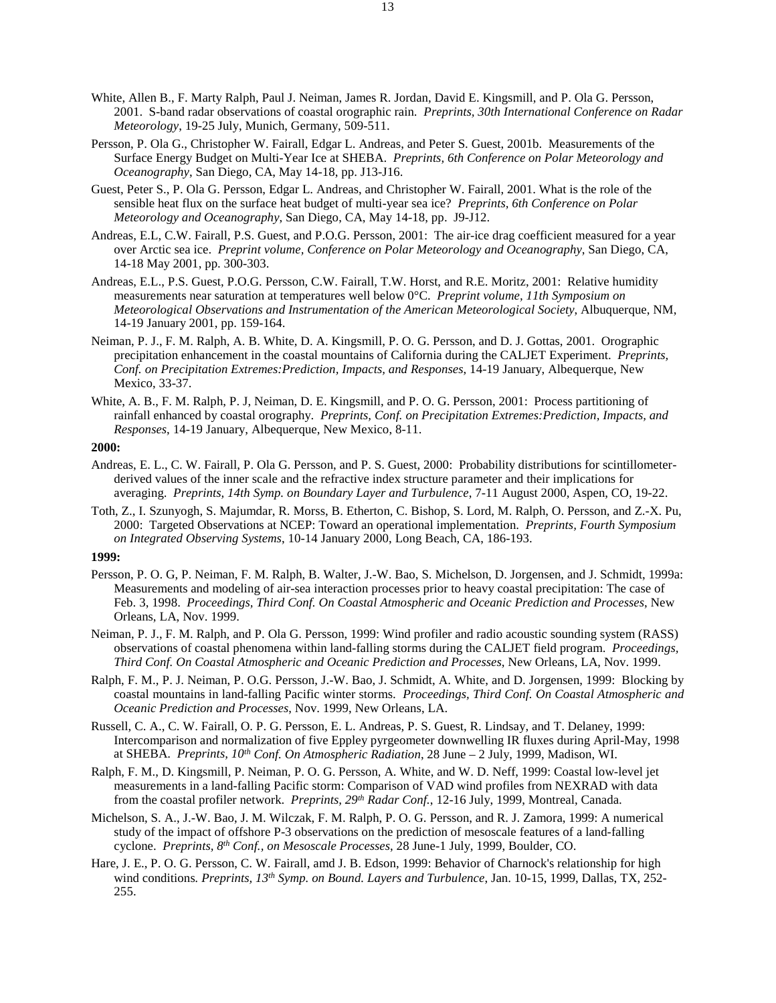- White, Allen B., F. Marty Ralph, Paul J. Neiman, James R. Jordan, David E. Kingsmill, and P. Ola G. Persson, 2001. S-band radar observations of coastal orographic rain. *Preprints, 30th International Conference on Radar Meteorology*, 19-25 July, Munich, Germany, 509-511.
- Persson, P. Ola G., Christopher W. Fairall, Edgar L. Andreas, and Peter S. Guest, 2001b. Measurements of the Surface Energy Budget on Multi-Year Ice at SHEBA. *Preprints, 6th Conference on Polar Meteorology and Oceanography*, San Diego, CA, May 14-18, pp. J13-J16.
- Guest, Peter S., P. Ola G. Persson, Edgar L. Andreas, and Christopher W. Fairall, 2001. What is the role of the sensible heat flux on the surface heat budget of multi-year sea ice? *Preprints, 6th Conference on Polar Meteorology and Oceanography*, San Diego, CA, May 14-18, pp. J9-J12.
- Andreas, E.L, C.W. Fairall, P.S. Guest, and P.O.G. Persson, 2001: The air-ice drag coefficient measured for a year over Arctic sea ice. *Preprint volume, Conference on Polar Meteorology and Oceanography*, San Diego, CA, 14-18 May 2001, pp. 300-303.
- Andreas, E.L., P.S. Guest, P.O.G. Persson, C.W. Fairall, T.W. Horst, and R.E. Moritz, 2001: Relative humidity measurements near saturation at temperatures well below 0°C. *Preprint volume, 11th Symposium on Meteorological Observations and Instrumentation of the American Meteorological Society*, Albuquerque, NM, 14-19 January 2001, pp. 159-164.
- Neiman, P. J., F. M. Ralph, A. B. White, D. A. Kingsmill, P. O. G. Persson, and D. J. Gottas, 2001. Orographic precipitation enhancement in the coastal mountains of California during the CALJET Experiment. *Preprints, Conf. on Precipitation Extremes:Prediction, Impacts, and Responses*, 14-19 January, Albequerque, New Mexico, 33-37.
- White, A. B., F. M. Ralph, P. J, Neiman, D. E. Kingsmill, and P. O. G. Persson, 2001: Process partitioning of rainfall enhanced by coastal orography. *Preprints, Conf. on Precipitation Extremes:Prediction, Impacts, and Responses*, 14-19 January, Albequerque, New Mexico, 8-11.

- Andreas, E. L., C. W. Fairall, P. Ola G. Persson, and P. S. Guest, 2000: Probability distributions for scintillometerderived values of the inner scale and the refractive index structure parameter and their implications for averaging. *Preprints, 14th Symp. on Boundary Layer and Turbulence*, 7-11 August 2000, Aspen, CO, 19-22.
- Toth, Z., I. Szunyogh, S. Majumdar, R. Morss, B. Etherton, C. Bishop, S. Lord, M. Ralph, O. Persson, and Z.-X. Pu, 2000: Targeted Observations at NCEP: Toward an operational implementation. *Preprints, Fourth Symposium on Integrated Observing Systems*, 10-14 January 2000, Long Beach, CA, 186-193.

- Persson, P. O. G, P. Neiman, F. M. Ralph, B. Walter, J.-W. Bao, S. Michelson, D. Jorgensen, and J. Schmidt, 1999a: Measurements and modeling of air-sea interaction processes prior to heavy coastal precipitation: The case of Feb. 3, 1998. *Proceedings, Third Conf. On Coastal Atmospheric and Oceanic Prediction and Processes*, New Orleans, LA, Nov. 1999.
- Neiman, P. J., F. M. Ralph, and P. Ola G. Persson, 1999: Wind profiler and radio acoustic sounding system (RASS) observations of coastal phenomena within land-falling storms during the CALJET field program. *Proceedings, Third Conf. On Coastal Atmospheric and Oceanic Prediction and Processes*, New Orleans, LA, Nov. 1999.
- Ralph, F. M., P. J. Neiman, P. O.G. Persson, J.-W. Bao, J. Schmidt, A. White, and D. Jorgensen, 1999: Blocking by coastal mountains in land-falling Pacific winter storms. *Proceedings, Third Conf. On Coastal Atmospheric and Oceanic Prediction and Processes*, Nov. 1999, New Orleans, LA.
- Russell, C. A., C. W. Fairall, O. P. G. Persson, E. L. Andreas, P. S. Guest, R. Lindsay, and T. Delaney, 1999: Intercomparison and normalization of five Eppley pyrgeometer downwelling IR fluxes during April-May, 1998 at SHEBA. *Preprints, 10th Conf. On Atmospheric Radiation*, 28 June – 2 July, 1999, Madison, WI.
- Ralph, F. M., D. Kingsmill, P. Neiman, P. O. G. Persson, A. White, and W. D. Neff, 1999: Coastal low-level jet measurements in a land-falling Pacific storm: Comparison of VAD wind profiles from NEXRAD with data from the coastal profiler network. *Preprints, 29th Radar Conf.*, 12-16 July, 1999, Montreal, Canada.
- Michelson, S. A., J.-W. Bao, J. M. Wilczak, F. M. Ralph, P. O. G. Persson, and R. J. Zamora, 1999: A numerical study of the impact of offshore P-3 observations on the prediction of mesoscale features of a land-falling cyclone. *Preprints, 8th Conf., on Mesoscale Processes*, 28 June-1 July, 1999, Boulder, CO.
- Hare, J. E., P. O. G. Persson, C. W. Fairall, amd J. B. Edson, 1999: Behavior of Charnock's relationship for high wind conditions*. Preprints, 13th Symp. on Bound. Layers and Turbulence*, Jan. 10-15, 1999, Dallas, TX, 252- 255.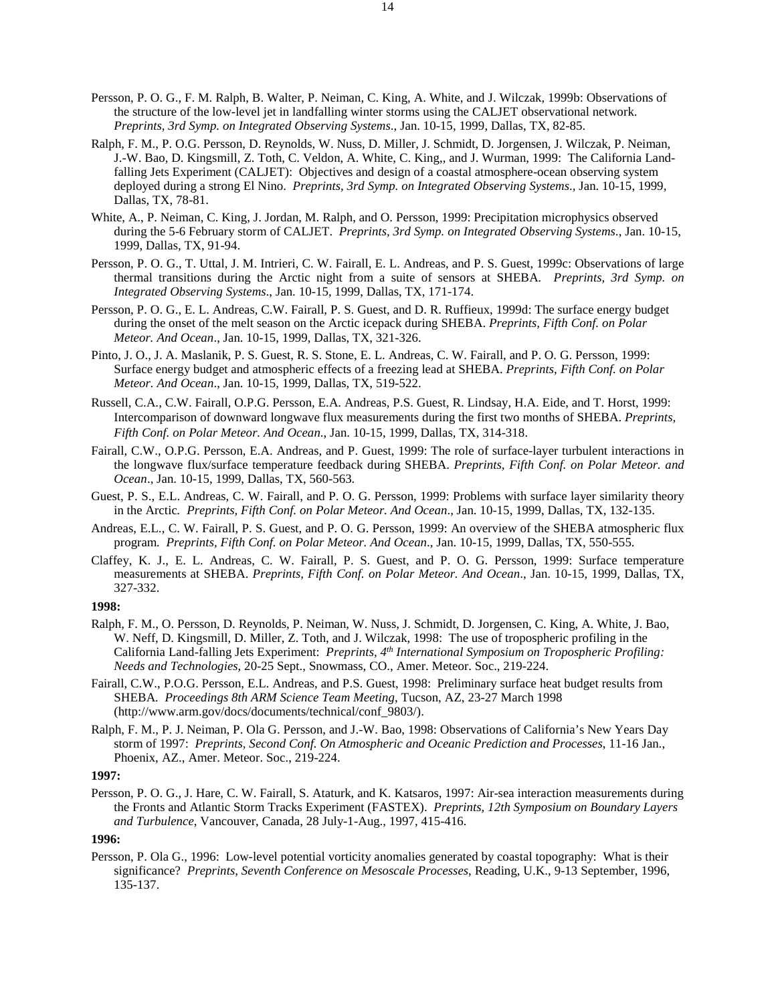- Persson, P. O. G., F. M. Ralph, B. Walter, P. Neiman, C. King, A. White, and J. Wilczak, 1999b: Observations of the structure of the low-level jet in landfalling winter storms using the CALJET observational network. *Preprints, 3rd Symp. on Integrated Observing Systems*., Jan. 10-15, 1999, Dallas, TX, 82-85.
- Ralph, F. M., P. O.G. Persson, D. Reynolds, W. Nuss, D. Miller, J. Schmidt, D. Jorgensen, J. Wilczak, P. Neiman, J.-W. Bao, D. Kingsmill, Z. Toth, C. Veldon, A. White, C. King,, and J. Wurman, 1999: The California Landfalling Jets Experiment (CALJET): Objectives and design of a coastal atmosphere-ocean observing system deployed during a strong El Nino. *Preprints, 3rd Symp. on Integrated Observing Systems*., Jan. 10-15, 1999, Dallas, TX, 78-81.
- White, A., P. Neiman, C. King, J. Jordan, M. Ralph, and O. Persson, 1999: Precipitation microphysics observed during the 5-6 February storm of CALJET. *Preprints, 3rd Symp. on Integrated Observing Systems*., Jan. 10-15, 1999, Dallas, TX, 91-94.
- Persson, P. O. G., T. Uttal, J. M. Intrieri, C. W. Fairall, E. L. Andreas, and P. S. Guest, 1999c: Observations of large thermal transitions during the Arctic night from a suite of sensors at SHEBA*. Preprints, 3rd Symp. on Integrated Observing Systems*., Jan. 10-15, 1999, Dallas, TX, 171-174.
- Persson, P. O. G., E. L. Andreas, C.W. Fairall, P. S. Guest, and D. R. Ruffieux, 1999d: The surface energy budget during the onset of the melt season on the Arctic icepack during SHEBA. *Preprints, Fifth Conf. on Polar Meteor. And Ocean*., Jan. 10-15, 1999, Dallas, TX, 321-326.
- Pinto, J. O., J. A. Maslanik, P. S. Guest, R. S. Stone, E. L. Andreas, C. W. Fairall, and P. O. G. Persson, 1999: Surface energy budget and atmospheric effects of a freezing lead at SHEBA. *Preprints, Fifth Conf. on Polar Meteor. And Ocean*., Jan. 10-15, 1999, Dallas, TX, 519-522.
- Russell, C.A., C.W. Fairall, O.P.G. Persson, E.A. Andreas, P.S. Guest, R. Lindsay, H.A. Eide, and T. Horst, 1999: Intercomparison of downward longwave flux measurements during the first two months of SHEBA. *Preprints, Fifth Conf. on Polar Meteor. And Ocean*., Jan. 10-15, 1999, Dallas, TX, 314-318.
- Fairall, C.W., O.P.G. Persson, E.A. Andreas, and P. Guest, 1999: The role of surface-layer turbulent interactions in the longwave flux/surface temperature feedback during SHEBA. *Preprints, Fifth Conf. on Polar Meteor. and Ocean*., Jan. 10-15, 1999, Dallas, TX, 560-563.
- Guest, P. S., E.L. Andreas, C. W. Fairall, and P. O. G. Persson, 1999: Problems with surface layer similarity theory in the Arctic*. Preprints, Fifth Conf. on Polar Meteor. And Ocean*., Jan. 10-15, 1999, Dallas, TX, 132-135.
- Andreas, E.L., C. W. Fairall, P. S. Guest, and P. O. G. Persson, 1999: An overview of the SHEBA atmospheric flux program*. Preprints, Fifth Conf. on Polar Meteor. And Ocean*., Jan. 10-15, 1999, Dallas, TX, 550-555.
- Claffey, K. J., E. L. Andreas, C. W. Fairall, P. S. Guest, and P. O. G. Persson, 1999: Surface temperature measurements at SHEBA. *Preprints, Fifth Conf. on Polar Meteor. And Ocean*., Jan. 10-15, 1999, Dallas, TX, 327-332.
- **1998:**
- Ralph, F. M., O. Persson, D. Reynolds, P. Neiman, W. Nuss, J. Schmidt, D. Jorgensen, C. King, A. White, J. Bao, W. Neff, D. Kingsmill, D. Miller, Z. Toth, and J. Wilczak, 1998: The use of tropospheric profiling in the California Land-falling Jets Experiment: *Preprints, 4th International Symposium on Tropospheric Profiling: Needs and Technologies*, 20-25 Sept., Snowmass, CO., Amer. Meteor. Soc., 219-224.
- Fairall, C.W., P.O.G. Persson, E.L. Andreas, and P.S. Guest, 1998: Preliminary surface heat budget results from SHEBA*. Proceedings 8th ARM Science Team Meeting*, Tucson, AZ, 23-27 March 1998 (http://www.arm.gov/docs/documents/technical/conf\_9803/).
- Ralph, F. M., P. J. Neiman, P. Ola G. Persson, and J.-W. Bao, 1998: Observations of California's New Years Day storm of 1997: *Preprints, Second Conf. On Atmospheric and Oceanic Prediction and Processes*, 11-16 Jan., Phoenix, AZ., Amer. Meteor. Soc., 219-224.

Persson, P. O. G., J. Hare, C. W. Fairall, S. Ataturk, and K. Katsaros, 1997: Air-sea interaction measurements during the Fronts and Atlantic Storm Tracks Experiment (FASTEX). *Preprints, 12th Symposium on Boundary Layers and Turbulence*, Vancouver, Canada, 28 July-1-Aug., 1997, 415-416.

## **1996:**

Persson, P. Ola G., 1996: Low-level potential vorticity anomalies generated by coastal topography: What is their significance? *Preprints, Seventh Conference on Mesoscale Processes*, Reading, U.K., 9-13 September, 1996, 135-137.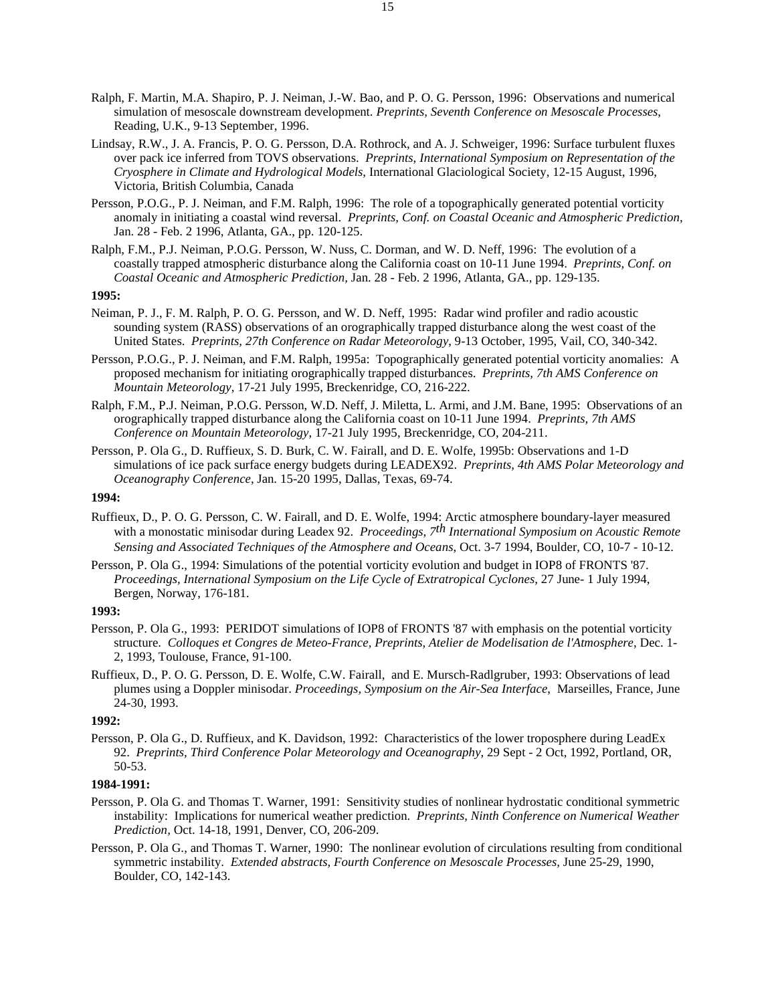- Ralph, F. Martin, M.A. Shapiro, P. J. Neiman, J.-W. Bao, and P. O. G. Persson, 1996: Observations and numerical simulation of mesoscale downstream development. *Preprints, Seventh Conference on Mesoscale Processes*, Reading, U.K., 9-13 September, 1996.
- Lindsay, R.W., J. A. Francis, P. O. G. Persson, D.A. Rothrock, and A. J. Schweiger, 1996: Surface turbulent fluxes over pack ice inferred from TOVS observations. *Preprints, International Symposium on Representation of the Cryosphere in Climate and Hydrological Models*, International Glaciological Society, 12-15 August, 1996, Victoria, British Columbia, Canada
- Persson, P.O.G., P. J. Neiman, and F.M. Ralph, 1996: The role of a topographically generated potential vorticity anomaly in initiating a coastal wind reversal. *Preprints, Conf. on Coastal Oceanic and Atmospheric Prediction,* Jan. 28 - Feb. 2 1996, Atlanta, GA., pp. 120-125.
- Ralph, F.M., P.J. Neiman, P.O.G. Persson, W. Nuss, C. Dorman, and W. D. Neff, 1996: The evolution of a coastally trapped atmospheric disturbance along the California coast on 10-11 June 1994. *Preprints, Conf. on Coastal Oceanic and Atmospheric Prediction,* Jan. 28 - Feb. 2 1996, Atlanta, GA., pp. 129-135.

- Neiman, P. J., F. M. Ralph, P. O. G. Persson, and W. D. Neff, 1995: Radar wind profiler and radio acoustic sounding system (RASS) observations of an orographically trapped disturbance along the west coast of the United States. *Preprints, 27th Conference on Radar Meteorology*, 9-13 October, 1995, Vail, CO, 340-342.
- Persson, P.O.G., P. J. Neiman, and F.M. Ralph, 1995a: Topographically generated potential vorticity anomalies: A proposed mechanism for initiating orographically trapped disturbances. *Preprints, 7th AMS Conference on Mountain Meteorology*, 17-21 July 1995, Breckenridge, CO, 216-222.
- Ralph, F.M., P.J. Neiman, P.O.G. Persson, W.D. Neff, J. Miletta, L. Armi, and J.M. Bane, 1995: Observations of an orographically trapped disturbance along the California coast on 10-11 June 1994. *Preprints, 7th AMS Conference on Mountain Meteorology*, 17-21 July 1995, Breckenridge, CO, 204-211.
- Persson, P. Ola G., D. Ruffieux, S. D. Burk, C. W. Fairall, and D. E. Wolfe, 1995b: Observations and 1-D simulations of ice pack surface energy budgets during LEADEX92. *Preprints, 4th AMS Polar Meteorology and Oceanography Conference*, Jan. 15-20 1995, Dallas, Texas, 69-74.

## **1994:**

- Ruffieux, D., P. O. G. Persson, C. W. Fairall, and D. E. Wolfe, 1994: Arctic atmosphere boundary-layer measured with a monostatic minisodar during Leadex 92. *Proceedings, 7th International Symposium on Acoustic Remote Sensing and Associated Techniques of the Atmosphere and Oceans*, Oct. 3-7 1994, Boulder, CO, 10-7 - 10-12.
- Persson, P. Ola G., 1994: Simulations of the potential vorticity evolution and budget in IOP8 of FRONTS '87. *Proceedings, International Symposium on the Life Cycle of Extratropical Cyclones,* 27 June- 1 July 1994, Bergen, Norway, 176-181*.*

#### **1993:**

- Persson, P. Ola G., 1993: PERIDOT simulations of IOP8 of FRONTS '87 with emphasis on the potential vorticity structure. *Colloques et Congres de Meteo-France, Preprints, Atelier de Modelisation de l'Atmosphere*, Dec. 1- 2, 1993, Toulouse, France, 91-100.
- Ruffieux, D., P. O. G. Persson, D. E. Wolfe, C.W. Fairall, and E. Mursch-Radlgruber, 1993: Observations of lead plumes using a Doppler minisodar. *Proceedings, Symposium on the Air-Sea Interface*, Marseilles, France, June 24-30, 1993.

## **1992:**

Persson, P. Ola G., D. Ruffieux, and K. Davidson, 1992: Characteristics of the lower troposphere during LeadEx 92. *Preprints, Third Conference Polar Meteorology and Oceanography*, 29 Sept - 2 Oct, 1992, Portland, OR, 50-53.

# **1984-1991:**

- Persson, P. Ola G. and Thomas T. Warner, 1991: Sensitivity studies of nonlinear hydrostatic conditional symmetric instability: Implications for numerical weather prediction. *Preprints, Ninth Conference on Numerical Weather Prediction,* Oct. 14-18, 1991, Denver, CO, 206-209.
- Persson, P. Ola G., and Thomas T. Warner, 1990: The nonlinear evolution of circulations resulting from conditional symmetric instability. *Extended abstracts, Fourth Conference on Mesoscale Processes,* June 25-29, 1990, Boulder, CO, 142-143.